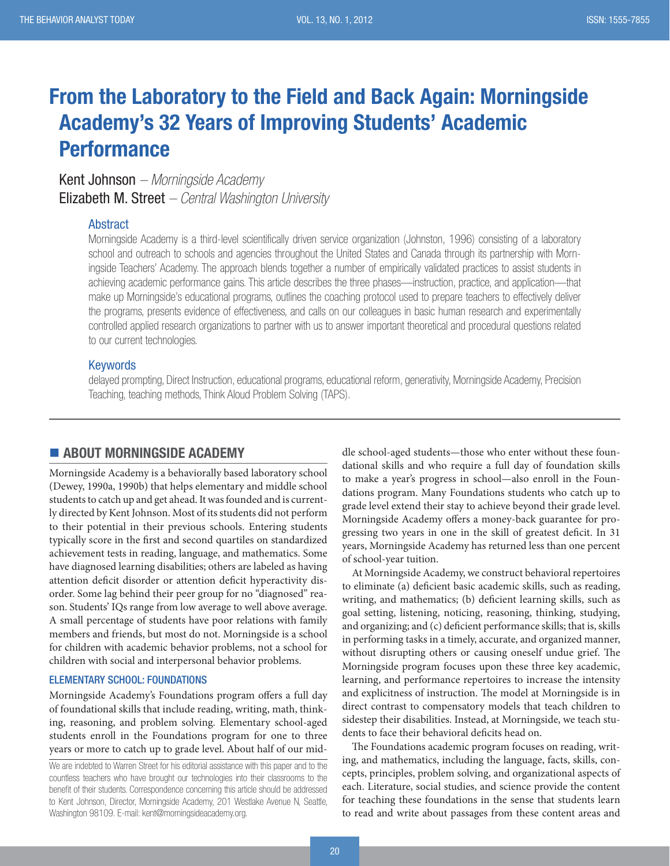# From the Laboratory to the Field and Back Again: Morningside Academy's 32 Years of Improving Students' Academic **Performance**

Kent Johnson *– Morningside Academy* Elizabeth M. Street *– Central Washington University*

### **Abstract**

Morningside Academy is a third-level scientifically driven service organization (Johnston, 1996) consisting of a laboratory school and outreach to schools and agencies throughout the United States and Canada through its partnership with Morningside Teachers' Academy. The approach blends together a number of empirically validated practices to assist students in achieving academic performance gains. This article describes the three phases—instruction, practice, and application—that make up Morningside's educational programs, outlines the coaching protocol used to prepare teachers to effectively deliver the programs, presents evidence of effectiveness, and calls on our colleagues in basic human research and experimentally controlled applied research organizations to partner with us to answer important theoretical and procedural questions related to our current technologies.

#### Keywords

delayed prompting, Direct Instruction, educational programs, educational reform, generativity, Morningside Academy, Precision Teaching, teaching methods, Think Aloud Problem Solving (TAPS).

## **ABOUT MORNINGSIDE ACADEMY**

Morningside Academy is a behaviorally based laboratory school (Dewey, 1990a, 1990b) that helps elementary and middle school students to catch up and get ahead. It was founded and is currently directed by Kent Johnson. Most of its students did not perform to their potential in their previous schools. Entering students typically score in the first and second quartiles on standardized achievement tests in reading, language, and mathematics. Some have diagnosed learning disabilities; others are labeled as having attention deficit disorder or attention deficit hyperactivity disorder. Some lag behind their peer group for no "diagnosed" reason. Students' IQs range from low average to well above average. A small percentage of students have poor relations with family members and friends, but most do not. Morningside is a school for children with academic behavior problems, not a school for children with social and interpersonal behavior problems.

#### ELEMENTARY SCHOOL: FOUNDATIONS

Morningside Academy's Foundations program offers a full day of foundational skills that include reading, writing, math, thinking, reasoning, and problem solving. Elementary school-aged students enroll in the Foundations program for one to three years or more to catch up to grade level. About half of our mid-

We are indebted to Warren Street for his editorial assistance with this paper and to the countless teachers who have brought our technologies into their classrooms to the benefit of their students. Correspondence concerning this article should be addressed to Kent Johnson, Director, Morningside Academy, 201 Westlake Avenue N, Seattle, Washington 98109. E-mail: kent@morningsideacademy.org.

dle school-aged students—those who enter without these foundational skills and who require a full day of foundation skills to make a year's progress in school—also enroll in the Foundations program. Many Foundations students who catch up to grade level extend their stay to achieve beyond their grade level. Morningside Academy offers a money-back guarantee for progressing two years in one in the skill of greatest deficit. In 31 years, Morningside Academy has returned less than one percent of school-year tuition.

At Morningside Academy, we construct behavioral repertoires to eliminate (a) deficient basic academic skills, such as reading, writing, and mathematics; (b) deficient learning skills, such as goal setting, listening, noticing, reasoning, thinking, studying, and organizing; and (c) deficient performance skills; that is, skills in performing tasks in a timely, accurate, and organized manner, without disrupting others or causing oneself undue grief. The Morningside program focuses upon these three key academic, learning, and performance repertoires to increase the intensity and explicitness of instruction. The model at Morningside is in direct contrast to compensatory models that teach children to sidestep their disabilities. Instead, at Morningside, we teach students to face their behavioral deficits head on.

The Foundations academic program focuses on reading, writing, and mathematics, including the language, facts, skills, concepts, principles, problem solving, and organizational aspects of each. Literature, social studies, and science provide the content for teaching these foundations in the sense that students learn to read and write about passages from these content areas and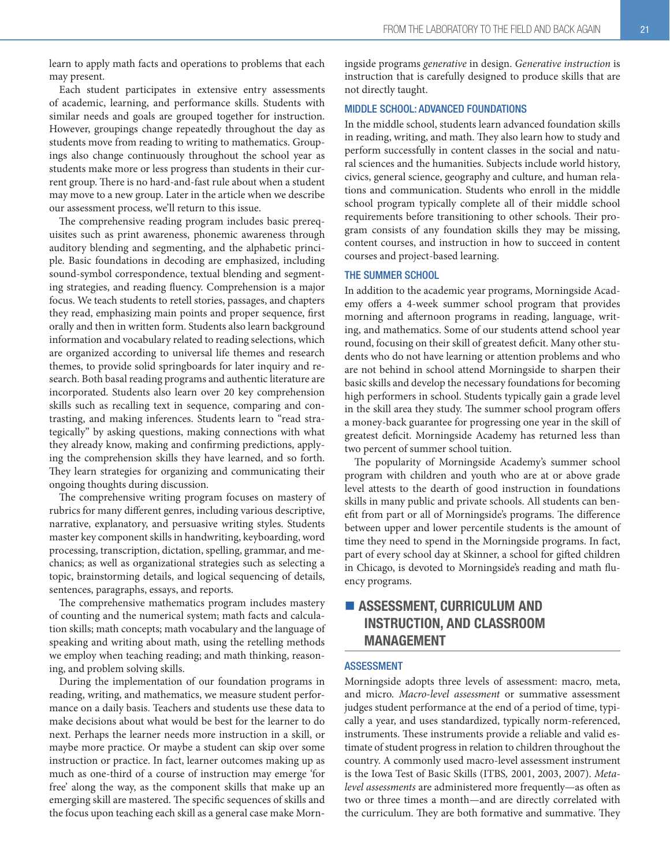learn to apply math facts and operations to problems that each may present.

Each student participates in extensive entry assessments of academic, learning, and performance skills. Students with similar needs and goals are grouped together for instruction. However, groupings change repeatedly throughout the day as students move from reading to writing to mathematics. Groupings also change continuously throughout the school year as students make more or less progress than students in their current group. There is no hard-and-fast rule about when a student may move to a new group. Later in the article when we describe our assessment process, we'll return to this issue.

The comprehensive reading program includes basic prerequisites such as print awareness, phonemic awareness through auditory blending and segmenting, and the alphabetic principle. Basic foundations in decoding are emphasized, including sound-symbol correspondence, textual blending and segmenting strategies, and reading fluency. Comprehension is a major focus. We teach students to retell stories, passages, and chapters they read, emphasizing main points and proper sequence, first orally and then in written form. Students also learn background information and vocabulary related to reading selections, which are organized according to universal life themes and research themes, to provide solid springboards for later inquiry and research. Both basal reading programs and authentic literature are incorporated. Students also learn over 20 key comprehension skills such as recalling text in sequence, comparing and contrasting, and making inferences. Students learn to "read strategically" by asking questions, making connections with what they already know, making and confirming predictions, applying the comprehension skills they have learned, and so forth. They learn strategies for organizing and communicating their ongoing thoughts during discussion.

The comprehensive writing program focuses on mastery of rubrics for many different genres, including various descriptive, narrative, explanatory, and persuasive writing styles. Students master key component skills in handwriting, keyboarding, word processing, transcription, dictation, spelling, grammar, and mechanics; as well as organizational strategies such as selecting a topic, brainstorming details, and logical sequencing of details, sentences, paragraphs, essays, and reports.

The comprehensive mathematics program includes mastery of counting and the numerical system; math facts and calculation skills; math concepts; math vocabulary and the language of speaking and writing about math, using the retelling methods we employ when teaching reading; and math thinking, reasoning, and problem solving skills.

During the implementation of our foundation programs in reading, writing, and mathematics, we measure student performance on a daily basis. Teachers and students use these data to make decisions about what would be best for the learner to do next. Perhaps the learner needs more instruction in a skill, or maybe more practice. Or maybe a student can skip over some instruction or practice. In fact, learner outcomes making up as much as one-third of a course of instruction may emerge 'for free' along the way, as the component skills that make up an emerging skill are mastered. The specific sequences of skills and the focus upon teaching each skill as a general case make Morningside programs generative in design. Generative instruction is instruction that is carefully designed to produce skills that are not directly taught.

#### MIDDLE SCHOOL: ADVANCED FOUNDATIONS

In the middle school, students learn advanced foundation skills in reading, writing, and math. They also learn how to study and perform successfully in content classes in the social and natural sciences and the humanities. Subjects include world history, civics, general science, geography and culture, and human relations and communication. Students who enroll in the middle school program typically complete all of their middle school requirements before transitioning to other schools. Their program consists of any foundation skills they may be missing, content courses, and instruction in how to succeed in content courses and project-based learning.

#### THE SUMMER SCHOOL

In addition to the academic year programs, Morningside Academy offers a 4-week summer school program that provides morning and afternoon programs in reading, language, writing, and mathematics. Some of our students attend school year round, focusing on their skill of greatest deficit. Many other students who do not have learning or attention problems and who are not behind in school attend Morningside to sharpen their basic skills and develop the necessary foundations for becoming high performers in school. Students typically gain a grade level in the skill area they study. The summer school program offers a money-back guarantee for progressing one year in the skill of greatest deficit. Morningside Academy has returned less than two percent of summer school tuition.

The popularity of Morningside Academy's summer school program with children and youth who are at or above grade level attests to the dearth of good instruction in foundations skills in many public and private schools. All students can benefit from part or all of Morningside's programs. The difference between upper and lower percentile students is the amount of time they need to spend in the Morningside programs. In fact, part of every school day at Skinner, a school for gifted children in Chicago, is devoted to Morningside's reading and math fluency programs.

## **ASSESSMENT, CURRICULUM AND** INSTRUCTION, AND CLASSROOM MANAGEMENT

#### ASSESSMENT

Morningside adopts three levels of assessment: macro, meta, and micro. Macro-level assessment or summative assessment judges student performance at the end of a period of time, typically a year, and uses standardized, typically norm-referenced, instruments. These instruments provide a reliable and valid estimate of student progress in relation to children throughout the country. A commonly used macro-level assessment instrument is the Iowa Test of Basic Skills (ITBS, 2001, 2003, 2007). Metalevel assessments are administered more frequently—as often as two or three times a month—and are directly correlated with the curriculum. They are both formative and summative. They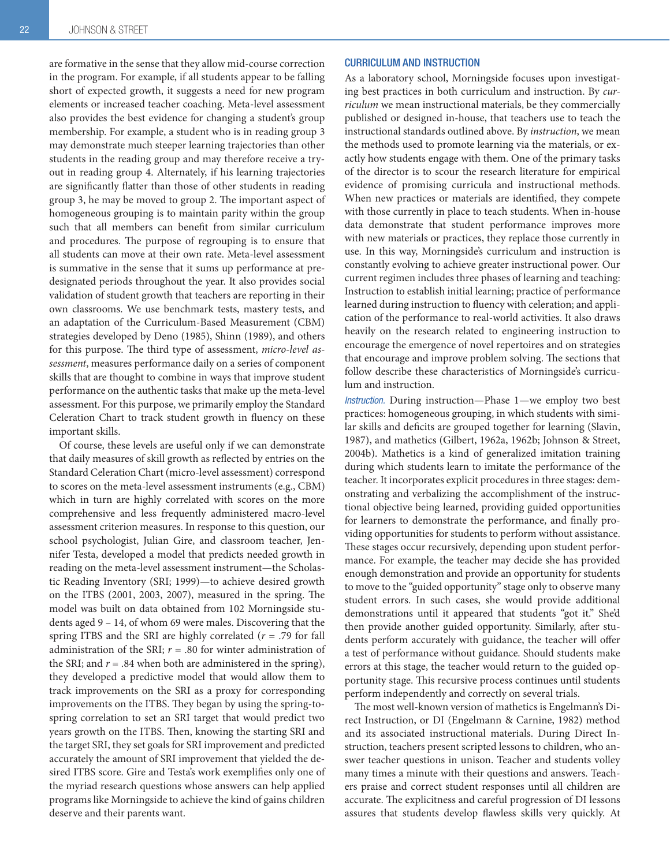are formative in the sense that they allow mid-course correction in the program. For example, if all students appear to be falling short of expected growth, it suggests a need for new program elements or increased teacher coaching. Meta-level assessment also provides the best evidence for changing a student's group membership. For example, a student who is in reading group 3 may demonstrate much steeper learning trajectories than other students in the reading group and may therefore receive a tryout in reading group 4. Alternately, if his learning trajectories are significantly flatter than those of other students in reading group 3, he may be moved to group 2. The important aspect of homogeneous grouping is to maintain parity within the group such that all members can benefit from similar curriculum and procedures. The purpose of regrouping is to ensure that all students can move at their own rate. Meta-level assessment is summative in the sense that it sums up performance at predesignated periods throughout the year. It also provides social validation of student growth that teachers are reporting in their own classrooms. We use benchmark tests, mastery tests, and an adaptation of the Curriculum-Based Measurement (CBM) strategies developed by Deno (1985), Shinn (1989), and others for this purpose. The third type of assessment, micro-level assessment, measures performance daily on a series of component skills that are thought to combine in ways that improve student performance on the authentic tasks that make up the meta-level assessment. For this purpose, we primarily employ the Standard Celeration Chart to track student growth in fluency on these important skills.

Of course, these levels are useful only if we can demonstrate that daily measures of skill growth as reflected by entries on the Standard Celeration Chart (micro-level assessment) correspond to scores on the meta-level assessment instruments (e.g., CBM) which in turn are highly correlated with scores on the more comprehensive and less frequently administered macro-level assessment criterion measures. In response to this question, our school psychologist, Julian Gire, and classroom teacher, Jennifer Testa, developed a model that predicts needed growth in reading on the meta-level assessment instrument—the Scholastic Reading Inventory (SRI; 1999)—to achieve desired growth on the ITBS (2001, 2003, 2007), measured in the spring. The model was built on data obtained from 102 Morningside students aged 9 – 14, of whom 69 were males. Discovering that the spring ITBS and the SRI are highly correlated  $(r = .79)$  for fall administration of the SRI;  $r = .80$  for winter administration of the SRI; and  $r = .84$  when both are administered in the spring), they developed a predictive model that would allow them to track improvements on the SRI as a proxy for corresponding improvements on the ITBS. They began by using the spring-tospring correlation to set an SRI target that would predict two years growth on the ITBS. Then, knowing the starting SRI and the target SRI, they set goals for SRI improvement and predicted accurately the amount of SRI improvement that yielded the desired ITBS score. Gire and Testa's work exemplifies only one of the myriad research questions whose answers can help applied programs like Morningside to achieve the kind of gains children deserve and their parents want.

#### CURRICULUM AND INSTRUCTION

As a laboratory school, Morningside focuses upon investigating best practices in both curriculum and instruction. By curriculum we mean instructional materials, be they commercially published or designed in-house, that teachers use to teach the instructional standards outlined above. By instruction, we mean the methods used to promote learning via the materials, or exactly how students engage with them. One of the primary tasks of the director is to scour the research literature for empirical evidence of promising curricula and instructional methods. When new practices or materials are identified, they compete with those currently in place to teach students. When in-house data demonstrate that student performance improves more with new materials or practices, they replace those currently in use. In this way, Morningside's curriculum and instruction is constantly evolving to achieve greater instructional power. Our current regimen includes three phases of learning and teaching: Instruction to establish initial learning; practice of performance learned during instruction to fluency with celeration; and application of the performance to real-world activities. It also draws heavily on the research related to engineering instruction to encourage the emergence of novel repertoires and on strategies that encourage and improve problem solving. The sections that follow describe these characteristics of Morningside's curriculum and instruction.

*Instruction.* During instruction—Phase 1—we employ two best practices: homogeneous grouping, in which students with similar skills and deficits are grouped together for learning (Slavin, 1987), and mathetics (Gilbert, 1962a, 1962b; Johnson & Street, 2004b). Mathetics is a kind of generalized imitation training during which students learn to imitate the performance of the teacher. It incorporates explicit procedures in three stages: demonstrating and verbalizing the accomplishment of the instructional objective being learned, providing guided opportunities for learners to demonstrate the performance, and finally providing opportunities for students to perform without assistance. These stages occur recursively, depending upon student performance. For example, the teacher may decide she has provided enough demonstration and provide an opportunity for students to move to the "guided opportunity" stage only to observe many student errors. In such cases, she would provide additional demonstrations until it appeared that students "got it." She'd then provide another guided opportunity. Similarly, after students perform accurately with guidance, the teacher will offer a test of performance without guidance. Should students make errors at this stage, the teacher would return to the guided opportunity stage. This recursive process continues until students perform independently and correctly on several trials.

The most well-known version of mathetics is Engelmann's Direct Instruction, or DI (Engelmann & Carnine, 1982) method and its associated instructional materials. During Direct Instruction, teachers present scripted lessons to children, who answer teacher questions in unison. Teacher and students volley many times a minute with their questions and answers. Teachers praise and correct student responses until all children are accurate. The explicitness and careful progression of DI lessons assures that students develop flawless skills very quickly. At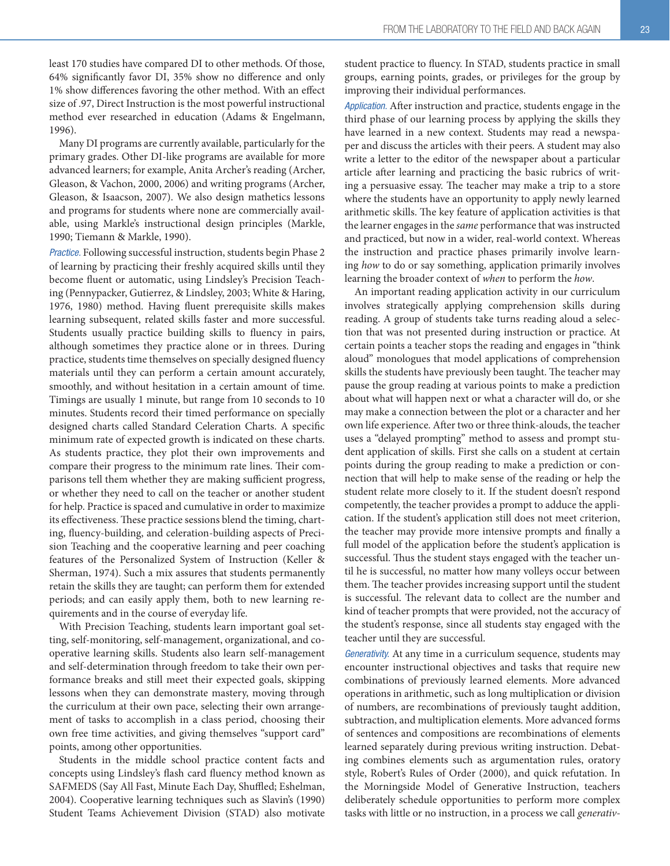least 170 studies have compared DI to other methods. Of those, 64% significantly favor DI, 35% show no difference and only 1% show differences favoring the other method. With an effect size of .97, Direct Instruction is the most powerful instructional method ever researched in education (Adams & Engelmann, 1996).

Many DI programs are currently available, particularly for the primary grades. Other DI-like programs are available for more advanced learners; for example, Anita Archer's reading (Archer, Gleason, & Vachon, 2000, 2006) and writing programs (Archer, Gleason, & Isaacson, 2007). We also design mathetics lessons and programs for students where none are commercially available, using Markle's instructional design principles (Markle, 1990; Tiemann & Markle, 1990).

*Practice.* Following successful instruction, students begin Phase 2 of learning by practicing their freshly acquired skills until they become fluent or automatic, using Lindsley's Precision Teaching (Pennypacker, Gutierrez, & Lindsley, 2003; White & Haring, 1976, 1980) method. Having fluent prerequisite skills makes learning subsequent, related skills faster and more successful. Students usually practice building skills to fluency in pairs, although sometimes they practice alone or in threes. During practice, students time themselves on specially designed fluency materials until they can perform a certain amount accurately, smoothly, and without hesitation in a certain amount of time. Timings are usually 1 minute, but range from 10 seconds to 10 minutes. Students record their timed performance on specially designed charts called Standard Celeration Charts. A specific minimum rate of expected growth is indicated on these charts. As students practice, they plot their own improvements and compare their progress to the minimum rate lines. Their comparisons tell them whether they are making sufficient progress, or whether they need to call on the teacher or another student for help. Practice is spaced and cumulative in order to maximize its effectiveness. These practice sessions blend the timing, charting, fluency-building, and celeration-building aspects of Precision Teaching and the cooperative learning and peer coaching features of the Personalized System of Instruction (Keller & Sherman, 1974). Such a mix assures that students permanently retain the skills they are taught; can perform them for extended periods; and can easily apply them, both to new learning requirements and in the course of everyday life.

With Precision Teaching, students learn important goal setting, self-monitoring, self-management, organizational, and cooperative learning skills. Students also learn self-management and self-determination through freedom to take their own performance breaks and still meet their expected goals, skipping lessons when they can demonstrate mastery, moving through the curriculum at their own pace, selecting their own arrangement of tasks to accomplish in a class period, choosing their own free time activities, and giving themselves "support card" points, among other opportunities.

Students in the middle school practice content facts and concepts using Lindsley's flash card fluency method known as SAFMEDS (Say All Fast, Minute Each Day, Shuffled; Eshelman, 2004). Cooperative learning techniques such as Slavin's (1990) Student Teams Achievement Division (STAD) also motivate student practice to fluency. In STAD, students practice in small groups, earning points, grades, or privileges for the group by improving their individual performances.

*Application.* After instruction and practice, students engage in the third phase of our learning process by applying the skills they have learned in a new context. Students may read a newspaper and discuss the articles with their peers. A student may also write a letter to the editor of the newspaper about a particular article after learning and practicing the basic rubrics of writing a persuasive essay. The teacher may make a trip to a store where the students have an opportunity to apply newly learned arithmetic skills. The key feature of application activities is that the learner engages in the same performance that was instructed and practiced, but now in a wider, real-world context. Whereas the instruction and practice phases primarily involve learning how to do or say something, application primarily involves learning the broader context of when to perform the how.

An important reading application activity in our curriculum involves strategically applying comprehension skills during reading. A group of students take turns reading aloud a selection that was not presented during instruction or practice. At certain points a teacher stops the reading and engages in "think aloud" monologues that model applications of comprehension skills the students have previously been taught. The teacher may pause the group reading at various points to make a prediction about what will happen next or what a character will do, or she may make a connection between the plot or a character and her own life experience. After two or three think-alouds, the teacher uses a "delayed prompting" method to assess and prompt student application of skills. First she calls on a student at certain points during the group reading to make a prediction or connection that will help to make sense of the reading or help the student relate more closely to it. If the student doesn't respond competently, the teacher provides a prompt to adduce the application. If the student's application still does not meet criterion, the teacher may provide more intensive prompts and finally a full model of the application before the student's application is successful. Thus the student stays engaged with the teacher until he is successful, no matter how many volleys occur between them. The teacher provides increasing support until the student is successful. The relevant data to collect are the number and kind of teacher prompts that were provided, not the accuracy of the student's response, since all students stay engaged with the teacher until they are successful.

*Generativity.* At any time in a curriculum sequence, students may encounter instructional objectives and tasks that require new combinations of previously learned elements. More advanced operations in arithmetic, such as long multiplication or division of numbers, are recombinations of previously taught addition, subtraction, and multiplication elements. More advanced forms of sentences and compositions are recombinations of elements learned separately during previous writing instruction. Debating combines elements such as argumentation rules, oratory style, Robert's Rules of Order (2000), and quick refutation. In the Morningside Model of Generative Instruction, teachers deliberately schedule opportunities to perform more complex tasks with little or no instruction, in a process we call generativ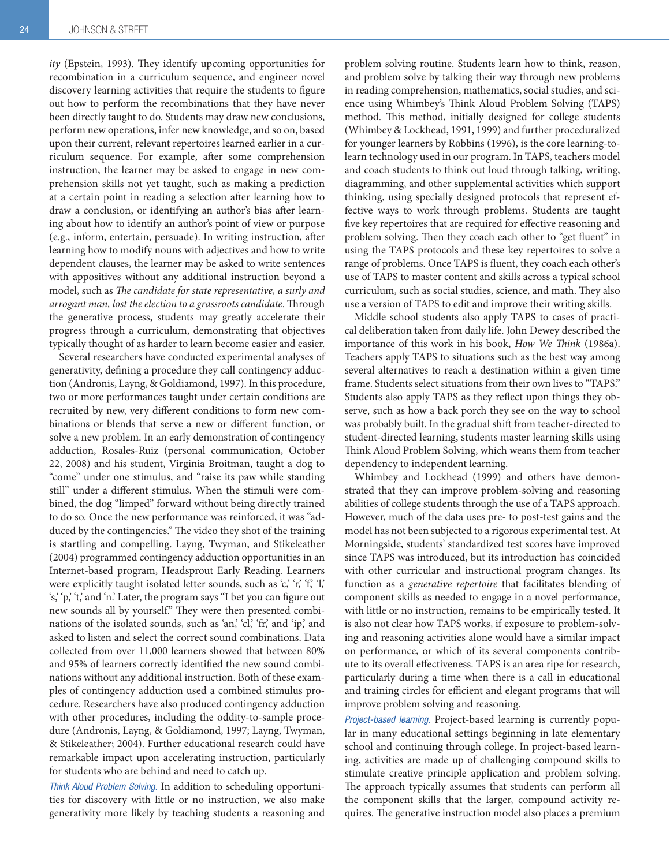ity (Epstein, 1993). They identify upcoming opportunities for recombination in a curriculum sequence, and engineer novel discovery learning activities that require the students to figure out how to perform the recombinations that they have never been directly taught to do. Students may draw new conclusions, perform new operations, infer new knowledge, and so on, based upon their current, relevant repertoires learned earlier in a curriculum sequence. For example, after some comprehension instruction, the learner may be asked to engage in new comprehension skills not yet taught, such as making a prediction at a certain point in reading a selection after learning how to draw a conclusion, or identifying an author's bias after learning about how to identify an author's point of view or purpose (e.g., inform, entertain, persuade). In writing instruction, after learning how to modify nouns with adjectives and how to write dependent clauses, the learner may be asked to write sentences with appositives without any additional instruction beyond a model, such as The candidate for state representative, a surly and arrogant man, lost the election to a grassroots candidate. Through the generative process, students may greatly accelerate their progress through a curriculum, demonstrating that objectives typically thought of as harder to learn become easier and easier.

Several researchers have conducted experimental analyses of generativity, defining a procedure they call contingency adduction (Andronis, Layng, & Goldiamond, 1997). In this procedure, two or more performances taught under certain conditions are recruited by new, very different conditions to form new combinations or blends that serve a new or different function, or solve a new problem. In an early demonstration of contingency adduction, Rosales-Ruiz (personal communication, October 22, 2008) and his student, Virginia Broitman, taught a dog to "come" under one stimulus, and "raise its paw while standing still" under a different stimulus. When the stimuli were combined, the dog "limped" forward without being directly trained to do so. Once the new performance was reinforced, it was "adduced by the contingencies." The video they shot of the training is startling and compelling. Layng, Twyman, and Stikeleather (2004) programmed contingency adduction opportunities in an Internet-based program, Headsprout Early Reading. Learners were explicitly taught isolated letter sounds, such as 'c,' 'r,' 'f,' 'l,' 's,' 'p,' 't,' and 'n.' Later, the program says "I bet you can figure out new sounds all by yourself." They were then presented combinations of the isolated sounds, such as 'an,' 'cl,' 'fr,' and 'ip,' and asked to listen and select the correct sound combinations. Data collected from over 11,000 learners showed that between 80% and 95% of learners correctly identified the new sound combinations without any additional instruction. Both of these examples of contingency adduction used a combined stimulus procedure. Researchers have also produced contingency adduction with other procedures, including the oddity-to-sample procedure (Andronis, Layng, & Goldiamond, 1997; Layng, Twyman, & Stikeleather; 2004). Further educational research could have remarkable impact upon accelerating instruction, particularly for students who are behind and need to catch up.

*Think Aloud Problem Solving.* In addition to scheduling opportunities for discovery with little or no instruction, we also make generativity more likely by teaching students a reasoning and problem solving routine. Students learn how to think, reason, and problem solve by talking their way through new problems in reading comprehension, mathematics, social studies, and science using Whimbey's Think Aloud Problem Solving (TAPS) method. This method, initially designed for college students (Whimbey & Lockhead, 1991, 1999) and further proceduralized for younger learners by Robbins (1996), is the core learning-tolearn technology used in our program. In TAPS, teachers model and coach students to think out loud through talking, writing, diagramming, and other supplemental activities which support thinking, using specially designed protocols that represent effective ways to work through problems. Students are taught five key repertoires that are required for effective reasoning and problem solving. Then they coach each other to "get fluent" in using the TAPS protocols and these key repertoires to solve a range of problems. Once TAPS is fluent, they coach each other's use of TAPS to master content and skills across a typical school curriculum, such as social studies, science, and math. They also use a version of TAPS to edit and improve their writing skills.

Middle school students also apply TAPS to cases of practical deliberation taken from daily life. John Dewey described the importance of this work in his book, How We Think (1986a). Teachers apply TAPS to situations such as the best way among several alternatives to reach a destination within a given time frame. Students select situations from their own lives to "TAPS." Students also apply TAPS as they reflect upon things they observe, such as how a back porch they see on the way to school was probably built. In the gradual shift from teacher-directed to student-directed learning, students master learning skills using Think Aloud Problem Solving, which weans them from teacher dependency to independent learning.

Whimbey and Lockhead (1999) and others have demonstrated that they can improve problem-solving and reasoning abilities of college students through the use of a TAPS approach. However, much of the data uses pre- to post-test gains and the model has not been subjected to a rigorous experimental test. At Morningside, students' standardized test scores have improved since TAPS was introduced, but its introduction has coincided with other curricular and instructional program changes. Its function as a generative repertoire that facilitates blending of component skills as needed to engage in a novel performance, with little or no instruction, remains to be empirically tested. It is also not clear how TAPS works, if exposure to problem-solving and reasoning activities alone would have a similar impact on performance, or which of its several components contribute to its overall effectiveness. TAPS is an area ripe for research, particularly during a time when there is a call in educational and training circles for efficient and elegant programs that will improve problem solving and reasoning.

*Project-based learning.* Project-based learning is currently popular in many educational settings beginning in late elementary school and continuing through college. In project-based learning, activities are made up of challenging compound skills to stimulate creative principle application and problem solving. The approach typically assumes that students can perform all the component skills that the larger, compound activity requires. The generative instruction model also places a premium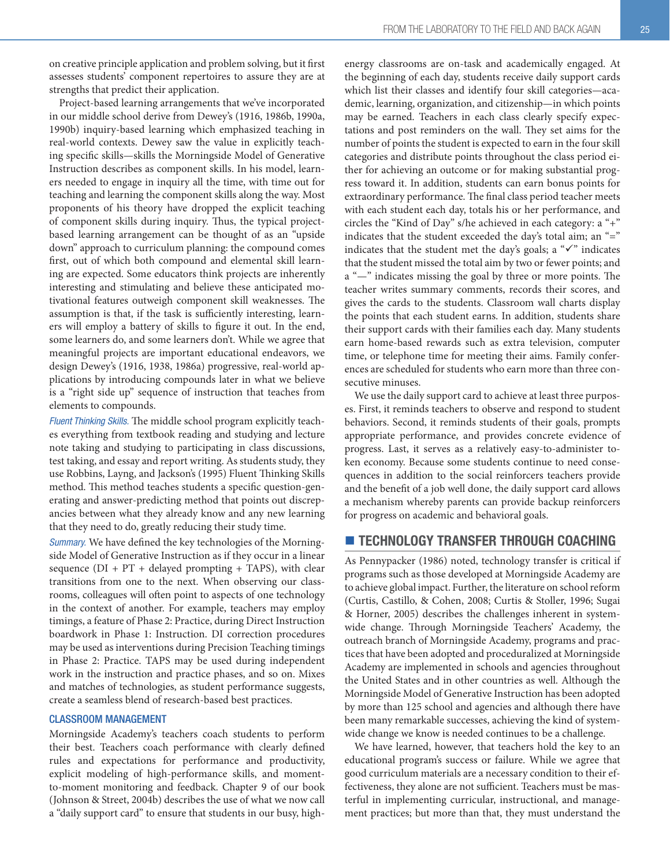on creative principle application and problem solving, but it first assesses students' component repertoires to assure they are at strengths that predict their application.

Project-based learning arrangements that we've incorporated in our middle school derive from Dewey's (1916, 1986b, 1990a, 1990b) inquiry-based learning which emphasized teaching in real-world contexts. Dewey saw the value in explicitly teaching specific skills—skills the Morningside Model of Generative Instruction describes as component skills. In his model, learners needed to engage in inquiry all the time, with time out for teaching and learning the component skills along the way. Most proponents of his theory have dropped the explicit teaching of component skills during inquiry. Thus, the typical projectbased learning arrangement can be thought of as an "upside down" approach to curriculum planning: the compound comes first, out of which both compound and elemental skill learning are expected. Some educators think projects are inherently interesting and stimulating and believe these anticipated motivational features outweigh component skill weaknesses. The assumption is that, if the task is sufficiently interesting, learners will employ a battery of skills to figure it out. In the end, some learners do, and some learners don't. While we agree that meaningful projects are important educational endeavors, we design Dewey's (1916, 1938, 1986a) progressive, real-world applications by introducing compounds later in what we believe is a "right side up" sequence of instruction that teaches from elements to compounds.

*Fluent Thinking Skills.* The middle school program explicitly teaches everything from textbook reading and studying and lecture note taking and studying to participating in class discussions, test taking, and essay and report writing. As students study, they use Robbins, Layng, and Jackson's (1995) Fluent Thinking Skills method. This method teaches students a specific question-generating and answer-predicting method that points out discrepancies between what they already know and any new learning that they need to do, greatly reducing their study time.

*Summary.* We have defined the key technologies of the Morningside Model of Generative Instruction as if they occur in a linear sequence  $(DI + PT + delayed$  prompting + TAPS), with clear transitions from one to the next. When observing our classrooms, colleagues will often point to aspects of one technology in the context of another. For example, teachers may employ timings, a feature of Phase 2: Practice, during Direct Instruction boardwork in Phase 1: Instruction. DI correction procedures may be used as interventions during Precision Teaching timings in Phase 2: Practice. TAPS may be used during independent work in the instruction and practice phases, and so on. Mixes and matches of technologies, as student performance suggests, create a seamless blend of research-based best practices.

#### CLASSROOM MANAGEMENT

Morningside Academy's teachers coach students to perform their best. Teachers coach performance with clearly defined rules and expectations for performance and productivity, explicit modeling of high-performance skills, and momentto-moment monitoring and feedback. Chapter 9 of our book (Johnson & Street, 2004b) describes the use of what we now call a "daily support card" to ensure that students in our busy, highenergy classrooms are on-task and academically engaged. At the beginning of each day, students receive daily support cards which list their classes and identify four skill categories—academic, learning, organization, and citizenship—in which points may be earned. Teachers in each class clearly specify expectations and post reminders on the wall. They set aims for the number of points the student is expected to earn in the four skill categories and distribute points throughout the class period either for achieving an outcome or for making substantial progress toward it. In addition, students can earn bonus points for extraordinary performance. The final class period teacher meets with each student each day, totals his or her performance, and circles the "Kind of Day" s/he achieved in each category: a "+" indicates that the student exceeded the day's total aim; an "=" indicates that the student met the day's goals; a " $\checkmark$ " indicates that the student missed the total aim by two or fewer points; and a "—" indicates missing the goal by three or more points. The teacher writes summary comments, records their scores, and gives the cards to the students. Classroom wall charts display the points that each student earns. In addition, students share their support cards with their families each day. Many students earn home-based rewards such as extra television, computer time, or telephone time for meeting their aims. Family conferences are scheduled for students who earn more than three consecutive minuses.

We use the daily support card to achieve at least three purposes. First, it reminds teachers to observe and respond to student behaviors. Second, it reminds students of their goals, prompts appropriate performance, and provides concrete evidence of progress. Last, it serves as a relatively easy-to-administer token economy. Because some students continue to need consequences in addition to the social reinforcers teachers provide and the benefit of a job well done, the daily support card allows a mechanism whereby parents can provide backup reinforcers for progress on academic and behavioral goals.

## **TECHNOLOGY TRANSFER THROUGH COACHING**

As Pennypacker (1986) noted, technology transfer is critical if programs such as those developed at Morningside Academy are to achieve global impact. Further, the literature on school reform (Curtis, Castillo, & Cohen, 2008; Curtis & Stoller, 1996; Sugai & Horner, 2005) describes the challenges inherent in systemwide change. Through Morningside Teachers' Academy, the outreach branch of Morningside Academy, programs and practices that have been adopted and proceduralized at Morningside Academy are implemented in schools and agencies throughout the United States and in other countries as well. Although the Morningside Model of Generative Instruction has been adopted by more than 125 school and agencies and although there have been many remarkable successes, achieving the kind of systemwide change we know is needed continues to be a challenge.

We have learned, however, that teachers hold the key to an educational program's success or failure. While we agree that good curriculum materials are a necessary condition to their effectiveness, they alone are not sufficient. Teachers must be masterful in implementing curricular, instructional, and management practices; but more than that, they must understand the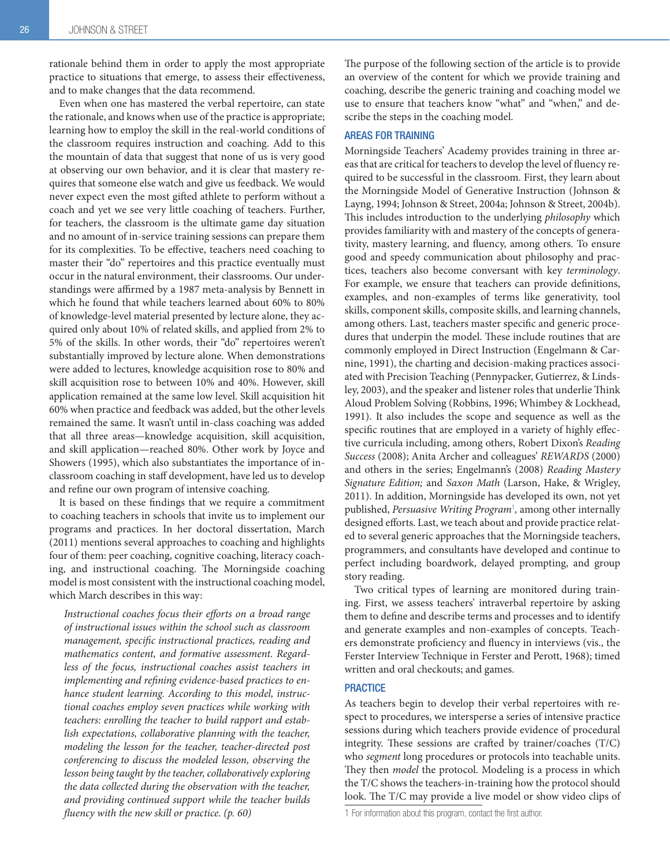rationale behind them in order to apply the most appropriate practice to situations that emerge, to assess their effectiveness, and to make changes that the data recommend.

Even when one has mastered the verbal repertoire, can state the rationale, and knows when use of the practice is appropriate; learning how to employ the skill in the real-world conditions of the classroom requires instruction and coaching. Add to this the mountain of data that suggest that none of us is very good at observing our own behavior, and it is clear that mastery requires that someone else watch and give us feedback. We would never expect even the most gifted athlete to perform without a coach and yet we see very little coaching of teachers. Further, for teachers, the classroom is the ultimate game day situation and no amount of in-service training sessions can prepare them for its complexities. To be effective, teachers need coaching to master their "do" repertoires and this practice eventually must occur in the natural environment, their classrooms. Our understandings were affirmed by a 1987 meta-analysis by Bennett in which he found that while teachers learned about 60% to 80% of knowledge-level material presented by lecture alone, they acquired only about 10% of related skills, and applied from 2% to 5% of the skills. In other words, their "do" repertoires weren't substantially improved by lecture alone. When demonstrations were added to lectures, knowledge acquisition rose to 80% and skill acquisition rose to between 10% and 40%. However, skill application remained at the same low level. Skill acquisition hit 60% when practice and feedback was added, but the other levels remained the same. It wasn't until in-class coaching was added that all three areas—knowledge acquisition, skill acquisition, and skill application—reached 80%. Other work by Joyce and Showers (1995), which also substantiates the importance of inclassroom coaching in staff development, have led us to develop and refine our own program of intensive coaching.

It is based on these findings that we require a commitment to coaching teachers in schools that invite us to implement our programs and practices. In her doctoral dissertation, March (2011) mentions several approaches to coaching and highlights four of them: peer coaching, cognitive coaching, literacy coaching, and instructional coaching. The Morningside coaching model is most consistent with the instructional coaching model, which March describes in this way:

Instructional coaches focus their efforts on a broad range of instructional issues within the school such as classroom management, specific instructional practices, reading and mathematics content, and formative assessment. Regardless of the focus, instructional coaches assist teachers in implementing and refining evidence-based practices to enhance student learning. According to this model, instructional coaches employ seven practices while working with teachers: enrolling the teacher to build rapport and establish expectations, collaborative planning with the teacher, modeling the lesson for the teacher, teacher-directed post conferencing to discuss the modeled lesson, observing the lesson being taught by the teacher, collaboratively exploring the data collected during the observation with the teacher, and providing continued support while the teacher builds fluency with the new skill or practice.  $(p. 60)$ 

The purpose of the following section of the article is to provide an overview of the content for which we provide training and coaching, describe the generic training and coaching model we use to ensure that teachers know "what" and "when," and describe the steps in the coaching model.

#### AREAS FOR TRAINING

Morningside Teachers' Academy provides training in three areas that are critical for teachers to develop the level of fluency required to be successful in the classroom. First, they learn about the Morningside Model of Generative Instruction (Johnson & Layng, 1994; Johnson & Street, 2004a; Johnson & Street, 2004b). This includes introduction to the underlying philosophy which provides familiarity with and mastery of the concepts of generativity, mastery learning, and fluency, among others. To ensure good and speedy communication about philosophy and practices, teachers also become conversant with key terminology. For example, we ensure that teachers can provide definitions, examples, and non-examples of terms like generativity, tool skills, component skills, composite skills, and learning channels, among others. Last, teachers master specific and generic procedures that underpin the model. These include routines that are commonly employed in Direct Instruction (Engelmann & Carnine, 1991), the charting and decision-making practices associated with Precision Teaching (Pennypacker, Gutierrez, & Lindsley, 2003), and the speaker and listener roles that underlie Think Aloud Problem Solving (Robbins, 1996; Whimbey & Lockhead, 1991). It also includes the scope and sequence as well as the specific routines that are employed in a variety of highly effective curricula including, among others, Robert Dixon's Reading Success (2008); Anita Archer and colleagues' REWARDS (2000) and others in the series; Engelmann's (2008) Reading Mastery Signature Edition; and Saxon Math (Larson, Hake, & Wrigley, 2011). In addition, Morningside has developed its own, not yet published, Persuasive Writing Program<sup>1</sup>, among other internally designed efforts. Last, we teach about and provide practice related to several generic approaches that the Morningside teachers, programmers, and consultants have developed and continue to perfect including boardwork, delayed prompting, and group story reading.

Two critical types of learning are monitored during training. First, we assess teachers' intraverbal repertoire by asking them to define and describe terms and processes and to identify and generate examples and non-examples of concepts. Teachers demonstrate proficiency and fluency in interviews (vis., the Ferster Interview Technique in Ferster and Perott, 1968); timed written and oral checkouts; and games.

#### **PRACTICE**

As teachers begin to develop their verbal repertoires with respect to procedures, we intersperse a series of intensive practice sessions during which teachers provide evidence of procedural integrity. These sessions are crafted by trainer/coaches (T/C) who segment long procedures or protocols into teachable units. They then *model* the protocol. Modeling is a process in which the T/C shows the teachers-in-training how the protocol should look. The T/C may provide a live model or show video clips of

<sup>1</sup> For information about this program, contact the first author.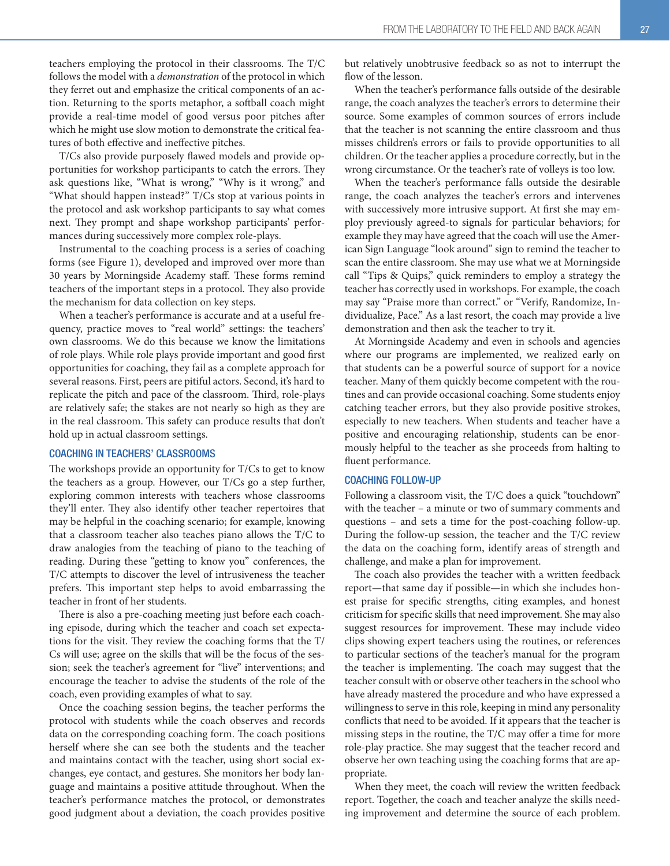teachers employing the protocol in their classrooms. The T/C follows the model with a demonstration of the protocol in which they ferret out and emphasize the critical components of an action. Returning to the sports metaphor, a softball coach might provide a real-time model of good versus poor pitches after which he might use slow motion to demonstrate the critical features of both effective and ineffective pitches.

T/Cs also provide purposely flawed models and provide opportunities for workshop participants to catch the errors. They ask questions like, "What is wrong," "Why is it wrong," and "What should happen instead?" T/Cs stop at various points in the protocol and ask workshop participants to say what comes next. They prompt and shape workshop participants' performances during successively more complex role-plays.

Instrumental to the coaching process is a series of coaching forms (see Figure 1), developed and improved over more than 30 years by Morningside Academy staff. These forms remind teachers of the important steps in a protocol. They also provide the mechanism for data collection on key steps.

When a teacher's performance is accurate and at a useful frequency, practice moves to "real world" settings: the teachers' own classrooms. We do this because we know the limitations of role plays. While role plays provide important and good first opportunities for coaching, they fail as a complete approach for several reasons. First, peers are pitiful actors. Second, it's hard to replicate the pitch and pace of the classroom. Third, role-plays are relatively safe; the stakes are not nearly so high as they are in the real classroom. This safety can produce results that don't hold up in actual classroom settings.

#### COACHING IN TEACHERS' CLASSROOMS

The workshops provide an opportunity for T/Cs to get to know the teachers as a group. However, our T/Cs go a step further, exploring common interests with teachers whose classrooms they'll enter. They also identify other teacher repertoires that may be helpful in the coaching scenario; for example, knowing that a classroom teacher also teaches piano allows the T/C to draw analogies from the teaching of piano to the teaching of reading. During these "getting to know you" conferences, the T/C attempts to discover the level of intrusiveness the teacher prefers. This important step helps to avoid embarrassing the teacher in front of her students.

There is also a pre-coaching meeting just before each coaching episode, during which the teacher and coach set expectations for the visit. They review the coaching forms that the T/ Cs will use; agree on the skills that will be the focus of the session; seek the teacher's agreement for "live" interventions; and encourage the teacher to advise the students of the role of the coach, even providing examples of what to say.

Once the coaching session begins, the teacher performs the protocol with students while the coach observes and records data on the corresponding coaching form. The coach positions herself where she can see both the students and the teacher and maintains contact with the teacher, using short social exchanges, eye contact, and gestures. She monitors her body language and maintains a positive attitude throughout. When the teacher's performance matches the protocol, or demonstrates good judgment about a deviation, the coach provides positive

but relatively unobtrusive feedback so as not to interrupt the flow of the lesson.

When the teacher's performance falls outside of the desirable range, the coach analyzes the teacher's errors to determine their source. Some examples of common sources of errors include that the teacher is not scanning the entire classroom and thus misses children's errors or fails to provide opportunities to all children. Or the teacher applies a procedure correctly, but in the wrong circumstance. Or the teacher's rate of volleys is too low.

When the teacher's performance falls outside the desirable range, the coach analyzes the teacher's errors and intervenes with successively more intrusive support. At first she may employ previously agreed-to signals for particular behaviors; for example they may have agreed that the coach will use the American Sign Language "look around" sign to remind the teacher to scan the entire classroom. She may use what we at Morningside call "Tips & Quips," quick reminders to employ a strategy the teacher has correctly used in workshops. For example, the coach may say "Praise more than correct." or "Verify, Randomize, Individualize, Pace." As a last resort, the coach may provide a live demonstration and then ask the teacher to try it.

At Morningside Academy and even in schools and agencies where our programs are implemented, we realized early on that students can be a powerful source of support for a novice teacher. Many of them quickly become competent with the routines and can provide occasional coaching. Some students enjoy catching teacher errors, but they also provide positive strokes, especially to new teachers. When students and teacher have a positive and encouraging relationship, students can be enormously helpful to the teacher as she proceeds from halting to fluent performance.

#### COACHING FOLLOW-UP

Following a classroom visit, the T/C does a quick "touchdown" with the teacher – a minute or two of summary comments and questions – and sets a time for the post-coaching follow-up. During the follow-up session, the teacher and the T/C review the data on the coaching form, identify areas of strength and challenge, and make a plan for improvement.

The coach also provides the teacher with a written feedback report—that same day if possible—in which she includes honest praise for specific strengths, citing examples, and honest criticism for specific skills that need improvement. She may also suggest resources for improvement. These may include video clips showing expert teachers using the routines, or references to particular sections of the teacher's manual for the program the teacher is implementing. The coach may suggest that the teacher consult with or observe other teachers in the school who have already mastered the procedure and who have expressed a willingness to serve in this role, keeping in mind any personality conflicts that need to be avoided. If it appears that the teacher is missing steps in the routine, the T/C may offer a time for more role-play practice. She may suggest that the teacher record and observe her own teaching using the coaching forms that are appropriate.

When they meet, the coach will review the written feedback report. Together, the coach and teacher analyze the skills needing improvement and determine the source of each problem.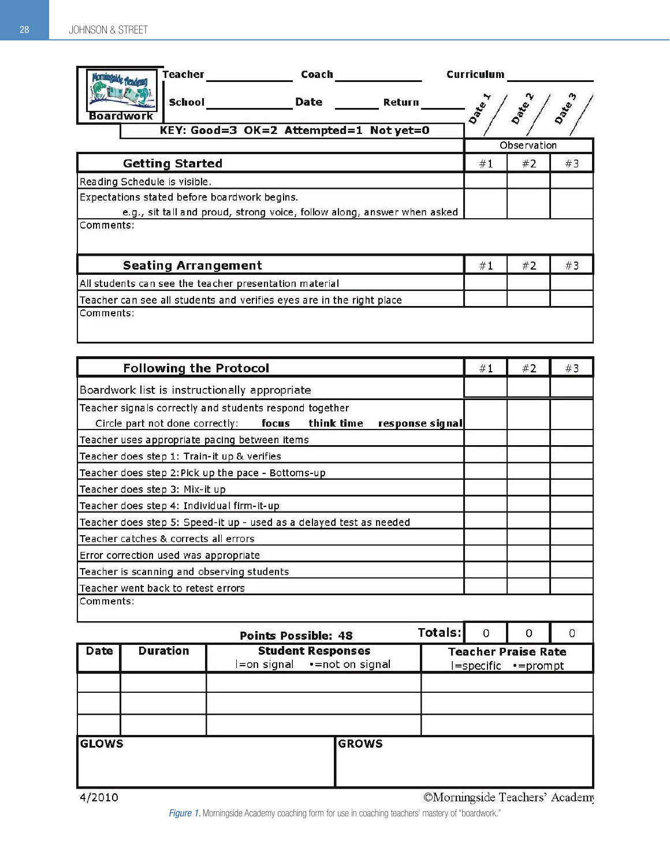| <b>Teacher</b><br>Coach                                                                                                              | <b>Curriculum</b> |             |             |  |
|--------------------------------------------------------------------------------------------------------------------------------------|-------------------|-------------|-------------|--|
| <b>School</b><br><b>Date</b><br><b>Return</b><br><b>Boardworl</b>                                                                    | Date 1            | <b>Date</b> | <b>Date</b> |  |
| KEY: Good=3 OK=2 Attempted=1 Not yet=0                                                                                               |                   | Observation |             |  |
| <b>Getting Started</b>                                                                                                               | #1                | #2          | #3          |  |
| Reading Schedule is visible.                                                                                                         |                   |             |             |  |
| Expectations stated before boardwork begins.<br>e.g., sit tall and proud, strong voice, follow along, answer when asked<br>Comments: |                   |             |             |  |
| <b>Seating Arrangement</b>                                                                                                           | #1                | #2          | #3          |  |
| All students can see the teacher presentation material                                                                               |                   |             |             |  |
| Teacher can see all students and verifies eyes are in the right place<br>Comments:                                                   |                   |             |             |  |

| <b>Following the Protocol</b>                                                                                                        |                                             |                                                    |                                               |          | #1       | #2                                                | #3 |  |
|--------------------------------------------------------------------------------------------------------------------------------------|---------------------------------------------|----------------------------------------------------|-----------------------------------------------|----------|----------|---------------------------------------------------|----|--|
| Boardwork list is instructionally appropriate                                                                                        |                                             |                                                    |                                               |          |          |                                                   |    |  |
| Teacher signals correctly and students respond together<br>think time<br>Circle part not done correctly:<br>focus<br>response signal |                                             |                                                    |                                               |          |          |                                                   |    |  |
|                                                                                                                                      |                                             | Teacher uses appropriate pacing between items      |                                               |          |          |                                                   |    |  |
|                                                                                                                                      | Teacher does step 1: Train-it up & verifies |                                                    |                                               |          |          |                                                   |    |  |
|                                                                                                                                      |                                             | Teacher does step 2: Pick up the pace - Bottoms-up |                                               |          |          |                                                   |    |  |
|                                                                                                                                      | Teacher does step 3: Mix-it up              |                                                    |                                               |          |          |                                                   |    |  |
| Teacher does step 4: Individual firm-it-up                                                                                           |                                             |                                                    |                                               |          |          |                                                   |    |  |
| Teacher does step 5: Speed-it up - used as a delayed test as needed                                                                  |                                             |                                                    |                                               |          |          |                                                   |    |  |
| Teacher catches & corrects all errors                                                                                                |                                             |                                                    |                                               |          |          |                                                   |    |  |
| Error correction used was appropriate                                                                                                |                                             |                                                    |                                               |          |          |                                                   |    |  |
|                                                                                                                                      | Teacher is scanning and observing students  |                                                    |                                               |          |          |                                                   |    |  |
|                                                                                                                                      | Teacher went back to retest errors          |                                                    |                                               |          |          |                                                   |    |  |
| Comments:                                                                                                                            |                                             |                                                    |                                               |          |          |                                                   |    |  |
| <b>Totals:</b><br><b>Points Possible: 48</b>                                                                                         |                                             |                                                    |                                               | $\Omega$ | $\Omega$ | $\Omega$                                          |    |  |
| <b>Date</b>                                                                                                                          | <b>Duration</b>                             | l=on signal                                        | <b>Student Responses</b><br>· = not on signal |          |          | <b>Teacher Praise Rate</b><br>l=specific •=prompt |    |  |
|                                                                                                                                      |                                             |                                                    |                                               |          |          |                                                   |    |  |
|                                                                                                                                      |                                             |                                                    |                                               |          |          |                                                   |    |  |
|                                                                                                                                      |                                             |                                                    |                                               |          |          |                                                   |    |  |
| <b>GLOWS</b>                                                                                                                         |                                             |                                                    | <b>GROWS</b>                                  |          |          |                                                   |    |  |

©Morningside Teachers' Academy

Figure 1. Morningside Academy coaching form for use in coaching teachers' mastery of "boardwork."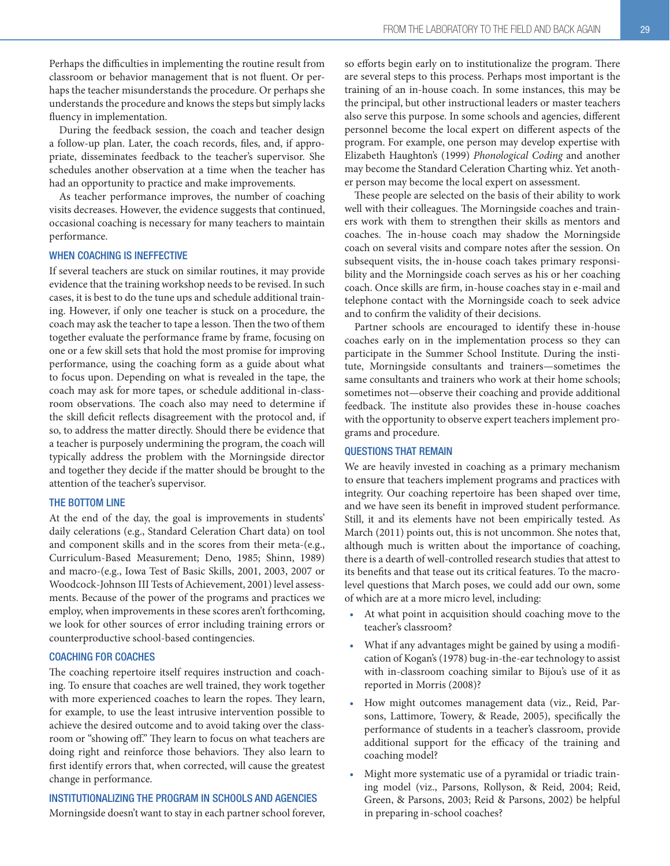Perhaps the difficulties in implementing the routine result from classroom or behavior management that is not fluent. Or perhaps the teacher misunderstands the procedure. Or perhaps she understands the procedure and knows the steps but simply lacks fluency in implementation.

During the feedback session, the coach and teacher design a follow-up plan. Later, the coach records, files, and, if appropriate, disseminates feedback to the teacher's supervisor. She schedules another observation at a time when the teacher has had an opportunity to practice and make improvements.

As teacher performance improves, the number of coaching visits decreases. However, the evidence suggests that continued, occasional coaching is necessary for many teachers to maintain performance.

#### WHEN COACHING IS INEFFECTIVE

If several teachers are stuck on similar routines, it may provide evidence that the training workshop needs to be revised. In such cases, it is best to do the tune ups and schedule additional training. However, if only one teacher is stuck on a procedure, the coach may ask the teacher to tape a lesson. Then the two of them together evaluate the performance frame by frame, focusing on one or a few skill sets that hold the most promise for improving performance, using the coaching form as a guide about what to focus upon. Depending on what is revealed in the tape, the coach may ask for more tapes, or schedule additional in-classroom observations. The coach also may need to determine if the skill deficit reflects disagreement with the protocol and, if so, to address the matter directly. Should there be evidence that a teacher is purposely undermining the program, the coach will typically address the problem with the Morningside director and together they decide if the matter should be brought to the attention of the teacher's supervisor.

#### THE BOTTOM LINE

At the end of the day, the goal is improvements in students' daily celerations (e.g., Standard Celeration Chart data) on tool and component skills and in the scores from their meta-(e.g., Curriculum-Based Measurement; Deno, 1985; Shinn, 1989) and macro-(e.g., Iowa Test of Basic Skills, 2001, 2003, 2007 or Woodcock-Johnson III Tests of Achievement, 2001) level assessments. Because of the power of the programs and practices we employ, when improvements in these scores aren't forthcoming, we look for other sources of error including training errors or counterproductive school-based contingencies.

#### COACHING FOR COACHES

The coaching repertoire itself requires instruction and coaching. To ensure that coaches are well trained, they work together with more experienced coaches to learn the ropes. They learn, for example, to use the least intrusive intervention possible to achieve the desired outcome and to avoid taking over the classroom or "showing off." They learn to focus on what teachers are doing right and reinforce those behaviors. They also learn to first identify errors that, when corrected, will cause the greatest change in performance.

#### INSTITUTIONALIZING THE PROGRAM IN SCHOOLS AND AGENCIES

Morningside doesn't want to stay in each partner school forever,

so efforts begin early on to institutionalize the program. There are several steps to this process. Perhaps most important is the training of an in-house coach. In some instances, this may be the principal, but other instructional leaders or master teachers also serve this purpose. In some schools and agencies, different personnel become the local expert on different aspects of the program. For example, one person may develop expertise with Elizabeth Haughton's (1999) Phonological Coding and another may become the Standard Celeration Charting whiz. Yet another person may become the local expert on assessment.

These people are selected on the basis of their ability to work well with their colleagues. The Morningside coaches and trainers work with them to strengthen their skills as mentors and coaches. The in-house coach may shadow the Morningside coach on several visits and compare notes after the session. On subsequent visits, the in-house coach takes primary responsibility and the Morningside coach serves as his or her coaching coach. Once skills are firm, in-house coaches stay in e-mail and telephone contact with the Morningside coach to seek advice and to confirm the validity of their decisions.

Partner schools are encouraged to identify these in-house coaches early on in the implementation process so they can participate in the Summer School Institute. During the institute, Morningside consultants and trainers—sometimes the same consultants and trainers who work at their home schools; sometimes not—observe their coaching and provide additional feedback. The institute also provides these in-house coaches with the opportunity to observe expert teachers implement programs and procedure.

#### QUESTIONS THAT REMAIN

We are heavily invested in coaching as a primary mechanism to ensure that teachers implement programs and practices with integrity. Our coaching repertoire has been shaped over time, and we have seen its benefit in improved student performance. Still, it and its elements have not been empirically tested. As March (2011) points out, this is not uncommon. She notes that, although much is written about the importance of coaching, there is a dearth of well-controlled research studies that attest to its benefits and that tease out its critical features. To the macrolevel questions that March poses, we could add our own, some of which are at a more micro level, including:

- At what point in acquisition should coaching move to the teacher's classroom?
- What if any advantages might be gained by using a modification of Kogan's (1978) bug-in-the-ear technology to assist with in-classroom coaching similar to Bijou's use of it as reported in Morris (2008)?
- How might outcomes management data (viz., Reid, Parsons, Lattimore, Towery, & Reade, 2005), specifically the performance of students in a teacher's classroom, provide additional support for the efficacy of the training and coaching model?
- Might more systematic use of a pyramidal or triadic training model (viz., Parsons, Rollyson, & Reid, 2004; Reid, Green, & Parsons, 2003; Reid & Parsons, 2002) be helpful in preparing in-school coaches?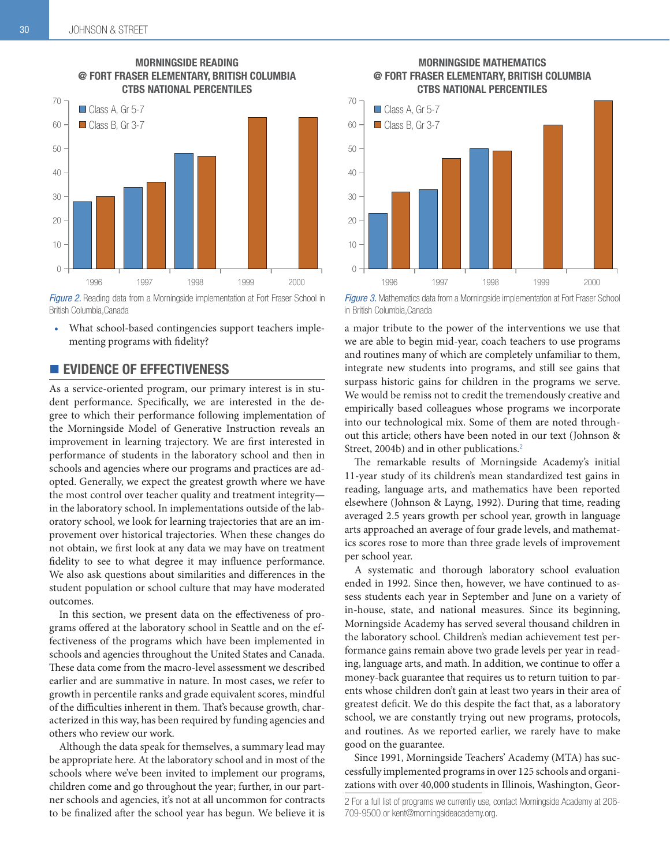

## MORNINGSIDE READING @ FORT FRASER ELEMENTARY, BRITISH COLUMBIA

Figure 2. Reading data from a Morningside implementation at Fort Fraser School in British Columbia.Canada

What school-based contingencies support teachers implementing programs with fidelity?

## **EVIDENCE OF EFFECTIVENESS**

As a service-oriented program, our primary interest is in student performance. Specifically, we are interested in the degree to which their performance following implementation of the Morningside Model of Generative Instruction reveals an improvement in learning trajectory. We are first interested in performance of students in the laboratory school and then in schools and agencies where our programs and practices are adopted. Generally, we expect the greatest growth where we have the most control over teacher quality and treatment integrity in the laboratory school. In implementations outside of the laboratory school, we look for learning trajectories that are an improvement over historical trajectories. When these changes do not obtain, we first look at any data we may have on treatment fidelity to see to what degree it may influence performance. We also ask questions about similarities and differences in the student population or school culture that may have moderated outcomes.

In this section, we present data on the effectiveness of programs offered at the laboratory school in Seattle and on the effectiveness of the programs which have been implemented in schools and agencies throughout the United States and Canada. These data come from the macro-level assessment we described earlier and are summative in nature. In most cases, we refer to growth in percentile ranks and grade equivalent scores, mindful of the difficulties inherent in them. That's because growth, characterized in this way, has been required by funding agencies and others who review our work.

Although the data speak for themselves, a summary lead may be appropriate here. At the laboratory school and in most of the schools where we've been invited to implement our programs, children come and go throughout the year; further, in our partner schools and agencies, it's not at all uncommon for contracts to be finalized after the school year has begun. We believe it is

MORNINGSIDE MATHEMATICS @ FORT FRASER ELEMENTARY, BRITISH COLUMBIA CTBS NATIONAL PERCENTILES



*Figure 3.* Mathematics data from a Morningside implementation at Fort Fraser School in British Columbia, Canada

a major tribute to the power of the interventions we use that we are able to begin mid-year, coach teachers to use programs and routines many of which are completely unfamiliar to them, integrate new students into programs, and still see gains that surpass historic gains for children in the programs we serve. We would be remiss not to credit the tremendously creative and empirically based colleagues whose programs we incorporate into our technological mix. Some of them are noted throughout this article; others have been noted in our text (Johnson & Street, 2004b) and in other publications.<sup>2</sup>

The remarkable results of Morningside Academy's initial 11-year study of its children's mean standardized test gains in reading, language arts, and mathematics have been reported elsewhere (Johnson & Layng, 1992). During that time, reading averaged 2.5 years growth per school year, growth in language arts approached an average of four grade levels, and mathematics scores rose to more than three grade levels of improvement per school year.

A systematic and thorough laboratory school evaluation ended in 1992. Since then, however, we have continued to assess students each year in September and June on a variety of in-house, state, and national measures. Since its beginning, Morningside Academy has served several thousand children in the laboratory school. Children's median achievement test performance gains remain above two grade levels per year in reading, language arts, and math. In addition, we continue to offer a money-back guarantee that requires us to return tuition to parents whose children don't gain at least two years in their area of greatest deficit. We do this despite the fact that, as a laboratory school, we are constantly trying out new programs, protocols, and routines. As we reported earlier, we rarely have to make good on the guarantee.

Since 1991, Morningside Teachers' Academy (MTA) has successfully implemented programs in over 125 schools and organizations with over 40,000 students in Illinois, Washington, Geor-

<sup>2</sup> For a full list of programs we currently use, contact Morningside Academy at 206-709-9500 or kent@morningsideacademy.org.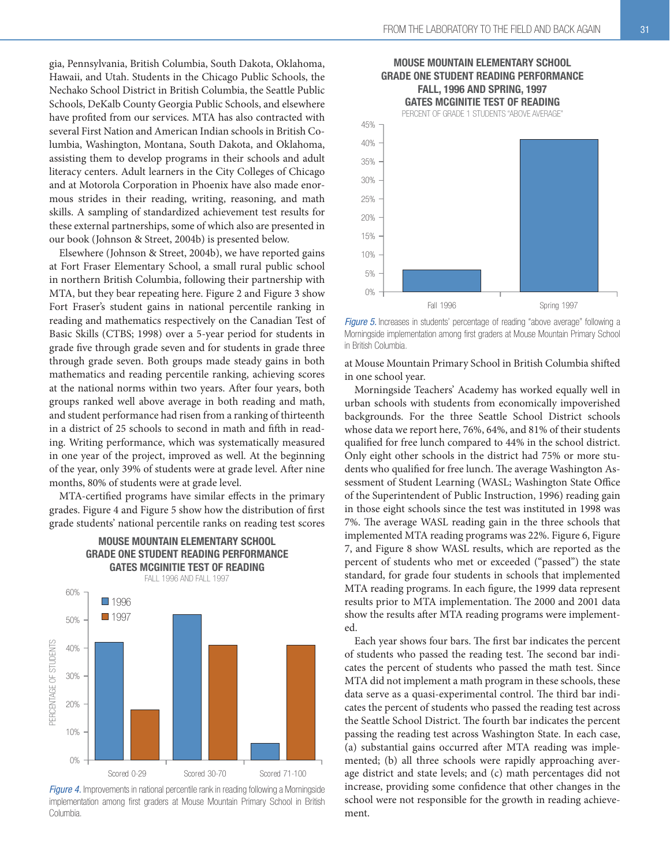gia, Pennsylvania, British Columbia, South Dakota, Oklahoma, Hawaii, and Utah. Students in the Chicago Public Schools, the Nechako School District in British Columbia, the Seattle Public Schools, DeKalb County Georgia Public Schools, and elsewhere have profited from our services. MTA has also contracted with several First Nation and American Indian schools in British Columbia, Washington, Montana, South Dakota, and Oklahoma, assisting them to develop programs in their schools and adult literacy centers. Adult learners in the City Colleges of Chicago and at Motorola Corporation in Phoenix have also made enormous strides in their reading, writing, reasoning, and math skills. A sampling of standardized achievement test results for these external partnerships, some of which also are presented in our book (Johnson & Street, 2004b) is presented below.

Elsewhere (Johnson & Street, 2004b), we have reported gains at Fort Fraser Elementary School, a small rural public school in northern British Columbia, following their partnership with MTA, but they bear repeating here. Figure 2 and Figure 3 show Fort Fraser's student gains in national percentile ranking in reading and mathematics respectively on the Canadian Test of Basic Skills (CTBS; 1998) over a 5-year period for students in grade five through grade seven and for students in grade three through grade seven. Both groups made steady gains in both mathematics and reading percentile ranking, achieving scores at the national norms within two years. After four years, both groups ranked well above average in both reading and math, and student performance had risen from a ranking of thirteenth in a district of 25 schools to second in math and fifth in reading. Writing performance, which was systematically measured in one year of the project, improved as well. At the beginning of the year, only 39% of students were at grade level. After nine months, 80% of students were at grade level.

MTA-certified programs have similar effects in the primary grades. Figure 4 and Figure 5 show how the distribution of first grade students' national percentile ranks on reading test scores

MOUSE MOUNTAIN ELEMENTARY SCHOOL



Figure 4. Improvements in national percentile rank in reading following a Morningside implementation among first graders at Mouse Mountain Primary School in British Columbia.

#### MOUSE MOUNTAIN ELEMENTARY SCHOOL GRADE ONE STUDENT READING PERFORMANCE FALL, 1996 AND SPRING, 1997 GATES MCGINITIE TEST OF READING

PERCENT OF GRADE 1 STUDENTS "ABOVE AVERAGE



*Figure 5.* Increases in students' percentage of reading "above average" following a Morningside implementation among first graders at Mouse Mountain Primary School in British Columbia.

at Mouse Mountain Primary School in British Columbia shifted in one school year.

Morningside Teachers' Academy has worked equally well in urban schools with students from economically impoverished backgrounds. For the three Seattle School District schools whose data we report here, 76%, 64%, and 81% of their students qualified for free lunch compared to 44% in the school district. Only eight other schools in the district had 75% or more students who qualified for free lunch. The average Washington Assessment of Student Learning (WASL; Washington State Office of the Superintendent of Public Instruction, 1996) reading gain in those eight schools since the test was instituted in 1998 was 7%. The average WASL reading gain in the three schools that implemented MTA reading programs was 22%. Figure 6, Figure 7, and Figure 8 show WASL results, which are reported as the percent of students who met or exceeded ("passed") the state standard, for grade four students in schools that implemented MTA reading programs. In each figure, the 1999 data represent results prior to MTA implementation. The 2000 and 2001 data show the results after MTA reading programs were implemented.

Each year shows four bars. The first bar indicates the percent of students who passed the reading test. The second bar indicates the percent of students who passed the math test. Since MTA did not implement a math program in these schools, these data serve as a quasi-experimental control. The third bar indicates the percent of students who passed the reading test across the Seattle School District. The fourth bar indicates the percent passing the reading test across Washington State. In each case, (a) substantial gains occurred after MTA reading was implemented; (b) all three schools were rapidly approaching average district and state levels; and (c) math percentages did not increase, providing some confidence that other changes in the school were not responsible for the growth in reading achievement.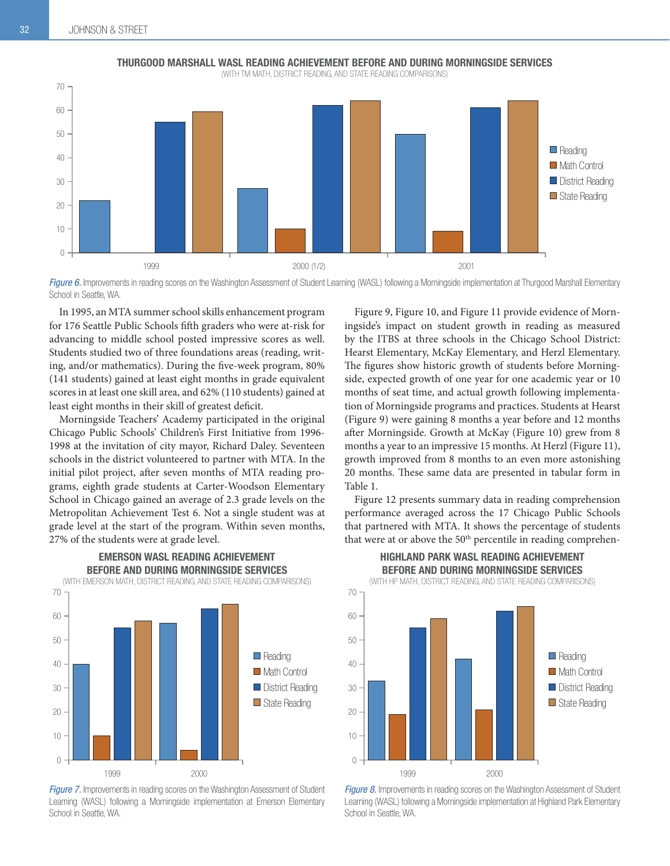

Figure 6. Improvements in reading scores on the Washington Assessment of Student Learning (WASL) following a Morningside implementation at Thurgood Marshall Elementary School in Seattle, WA

In 1995, an MTA summer school skills enhancement program for 176 Seattle Public Schools fifth graders who were at-risk for advancing to middle school posted impressive scores as well. Students studied two of three foundations areas (reading, writing, and/or mathematics). During the five-week program, 80% (141 students) gained at least eight months in grade equivalent scores in at least one skill area, and 62% (110 students) gained at least eight months in their skill of greatest deficit.

Morningside Teachers' Academy participated in the original Chicago Public Schools' Children's First Initiative from 1996- 1998 at the invitation of city mayor, Richard Daley. Seventeen schools in the district volunteered to partner with MTA. In the initial pilot project, after seven months of MTA reading programs, eighth grade students at Carter-Woodson Elementary School in Chicago gained an average of 2.3 grade levels on the Metropolitan Achievement Test 6. Not a single student was at grade level at the start of the program. Within seven months, 27% of the students were at grade level.



*Figure 7.* Improvements in reading scores on the Washington Assessment of Student Learning (WASL) following a Morningside implementation at Emerson Elementary School in Seattle, WA

Figure 9, Figure 10, and Figure 11 provide evidence of Morningside's impact on student growth in reading as measured by the ITBS at three schools in the Chicago School District: Hearst Elementary, McKay Elementary, and Herzl Elementary. The figures show historic growth of students before Morningside, expected growth of one year for one academic year or 10 months of seat time, and actual growth following implementation of Morningside programs and practices. Students at Hearst (Figure 9) were gaining 8 months a year before and 12 months after Morningside. Growth at McKay (Figure 10) grew from 8 months a year to an impressive 15 months. At Herzl (Figure 11), growth improved from 8 months to an even more astonishing 20 months. These same data are presented in tabular form in Table 1.

Figure 12 presents summary data in reading comprehension performance averaged across the 17 Chicago Public Schools that partnered with MTA. It shows the percentage of students that were at or above the  $50<sup>th</sup>$  percentile in reading comprehen-



*Figure 8.* Improvements in reading scores on the Washington Assessment of Student Learning (WASL) following a Morningside implementation at Highland Park Elementary School in Seattle, WA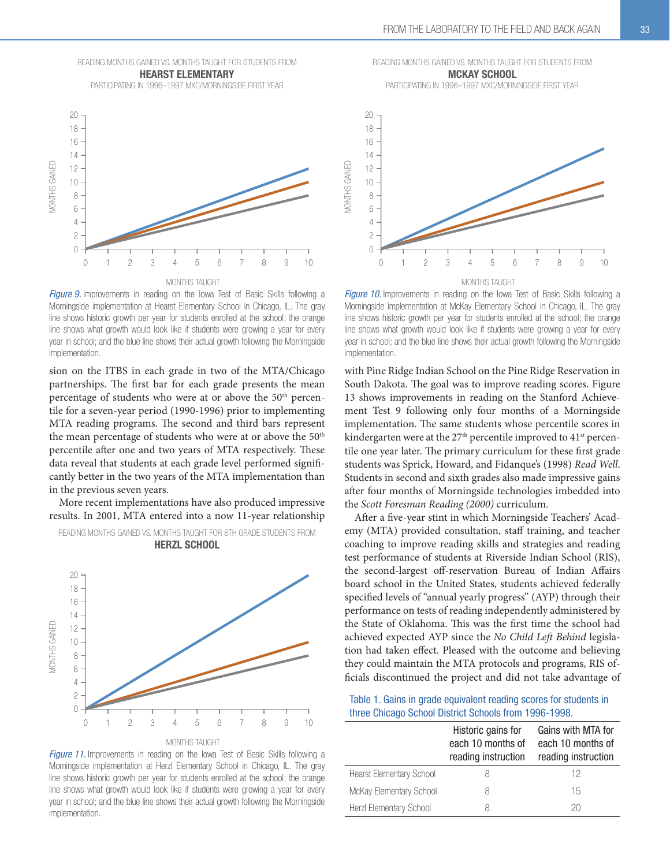READING MONTHS GAINED VS. MONTHS TAUGHT FOR STUDENTS FROM HEARST ELEMENTARY

PARTICIPATING IN 1996-1997 MXC/MORNINGSIDE FIRST YEAR



*Figure 9.* Improvements in reading on the lowa Test of Basic Skills following a Morningside implementation at Hearst Elementary School in Chicago, IL. The gray line shows historic growth per year for students enrolled at the school; the orange line shows what growth would look like if students were growing a year for every year in school; and the blue line shows their actual growth following the Morningside implementation.

sion on the ITBS in each grade in two of the MTA/Chicago partnerships. The first bar for each grade presents the mean percentage of students who were at or above the 50<sup>th</sup> percentile for a seven-year period (1990-1996) prior to implementing MTA reading programs. The second and third bars represent the mean percentage of students who were at or above the 50<sup>th</sup> percentile after one and two years of MTA respectively. These data reveal that students at each grade level performed significantly better in the two years of the MTA implementation than in the previous seven years.

More recent implementations have also produced impressive results. In 2001, MTA entered into a now 11-year relationship







READING MONTHS GAINED VS. MONTHS TAUGHT FOR STUDENTS FROM MCKAY SCHOOL

PARTICIPATING IN 1996-1997 MXC/MORNINGSIDE FIRST YEAR



*Figure 10.* Improvements in reading on the lowa Test of Basic Skills following a Morningside implementation at McKay Elementary School in Chicago, IL. The gray line shows historic growth per year for students enrolled at the school; the orange line shows what growth would look like if students were growing a year for every year in school; and the blue line shows their actual growth following the Morningside implementation.

with Pine Ridge Indian School on the Pine Ridge Reservation in South Dakota. The goal was to improve reading scores. Figure 13 shows improvements in reading on the Stanford Achievement Test 9 following only four months of a Morningside implementation. The same students whose percentile scores in kindergarten were at the 27<sup>th</sup> percentile improved to 41<sup>st</sup> percentile one year later. The primary curriculum for these first grade students was Sprick, Howard, and Fidanque's (1998) Read Well. Students in second and sixth grades also made impressive gains after four months of Morningside technologies imbedded into the Scott Foresman Reading (2000) curriculum.

After a five-year stint in which Morningside Teachers' Academy (MTA) provided consultation, staff training, and teacher coaching to improve reading skills and strategies and reading test performance of students at Riverside Indian School (RIS), the second-largest off-reservation Bureau of Indian Affairs board school in the United States, students achieved federally specified levels of "annual yearly progress" (AYP) through their performance on tests of reading independently administered by the State of Oklahoma. This was the first time the school had achieved expected AYP since the No Child Left Behind legislation had taken effect. Pleased with the outcome and believing they could maintain the MTA protocols and programs, RIS officials discontinued the project and did not take advantage of

Table 1. Gains in grade equivalent reading scores for students in three Chicago School District Schools from 1996-1998.

|                                 | Historic gains for<br>each 10 months of<br>reading instruction | Gains with MTA for<br>each 10 months of<br>reading instruction |  |  |
|---------------------------------|----------------------------------------------------------------|----------------------------------------------------------------|--|--|
| <b>Hearst Elementary School</b> |                                                                | 12                                                             |  |  |
| McKay Elementary School         | Χ                                                              | 15                                                             |  |  |
| Herzl Elementary School         | Χ                                                              | 20                                                             |  |  |
|                                 |                                                                |                                                                |  |  |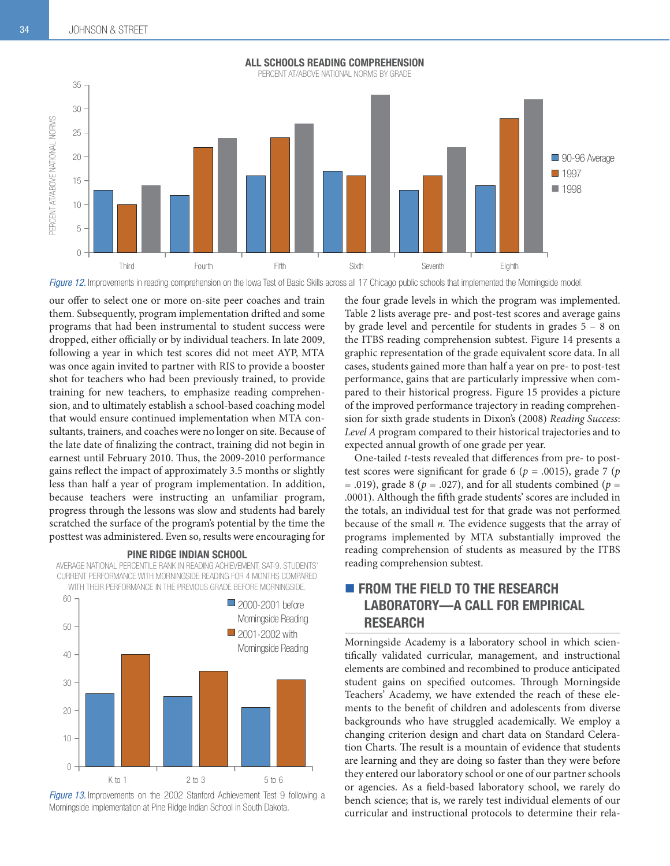

*Figure 12.* Improvements in reading comprehension on the lowa Test of Basic Skills across all 17 Chicago public schools that implemented the Morningside model.

our offer to select one or more on-site peer coaches and train them. Subsequently, program implementation drifted and some programs that had been instrumental to student success were dropped, either officially or by individual teachers. In late 2009, following a year in which test scores did not meet AYP, MTA was once again invited to partner with RIS to provide a booster shot for teachers who had been previously trained, to provide training for new teachers, to emphasize reading comprehension, and to ultimately establish a school-based coaching model that would ensure continued implementation when MTA consultants, trainers, and coaches were no longer on site. Because of the late date of finalizing the contract, training did not begin in earnest until February 2010. Thus, the 2009-2010 performance gains reflect the impact of approximately 3.5 months or slightly less than half a year of program implementation. In addition, because teachers were instructing an unfamiliar program, progress through the lessons was slow and students had barely scratched the surface of the program's potential by the time the posttest was administered. Even so, results were encouraging for

#### PINE RIDGE INDIAN SCHOOL

AVERAGE NATIONAL PERCENTILE RANK IN READING ACHIEVEMENT, SAT-9. STUDENTS CURRENT PERFORMANCE WITH MORNINGSIDE READING FOR 4 MONTHS COMPARED WITH THEIR PERFORMANCE IN THE PREVIOUS GRADE BEFORE MORNINGSIDE



**Figure 13.** Improvements on the 2002 Stanford Achievement Test 9 following a Morningside implementation at Pine Ridge Indian School in South Dakota

the four grade levels in which the program was implemented. Table 2 lists average pre- and post-test scores and average gains by grade level and percentile for students in grades 5 – 8 on the ITBS reading comprehension subtest. Figure 14 presents a graphic representation of the grade equivalent score data. In all cases, students gained more than half a year on pre- to post-test performance, gains that are particularly impressive when compared to their historical progress. Figure 15 provides a picture of the improved performance trajectory in reading comprehension for sixth grade students in Dixon's (2008) Reading Success: Level A program compared to their historical trajectories and to expected annual growth of one grade per year.

One-tailed t-tests revealed that differences from pre- to posttest scores were significant for grade 6 ( $p = .0015$ ), grade 7 ( $p$ = .019), grade 8 ( $p = .027$ ), and for all students combined ( $p =$ .0001). Although the fifth grade students' scores are included in the totals, an individual test for that grade was not performed because of the small  $n$ . The evidence suggests that the array of programs implemented by MTA substantially improved the reading comprehension of students as measured by the ITBS reading comprehension subtest.

## **FROM THE FIELD TO THE RESEARCH** LABORATORY—A CALL FOR EMPIRICAL RESEARCH

Morningside Academy is a laboratory school in which scientifically validated curricular, management, and instructional elements are combined and recombined to produce anticipated student gains on specified outcomes. Through Morningside Teachers' Academy, we have extended the reach of these elements to the benefit of children and adolescents from diverse backgrounds who have struggled academically. We employ a changing criterion design and chart data on Standard Celeration Charts. The result is a mountain of evidence that students are learning and they are doing so faster than they were before they entered our laboratory school or one of our partner schools or agencies. As a field-based laboratory school, we rarely do bench science; that is, we rarely test individual elements of our curricular and instructional protocols to determine their rela-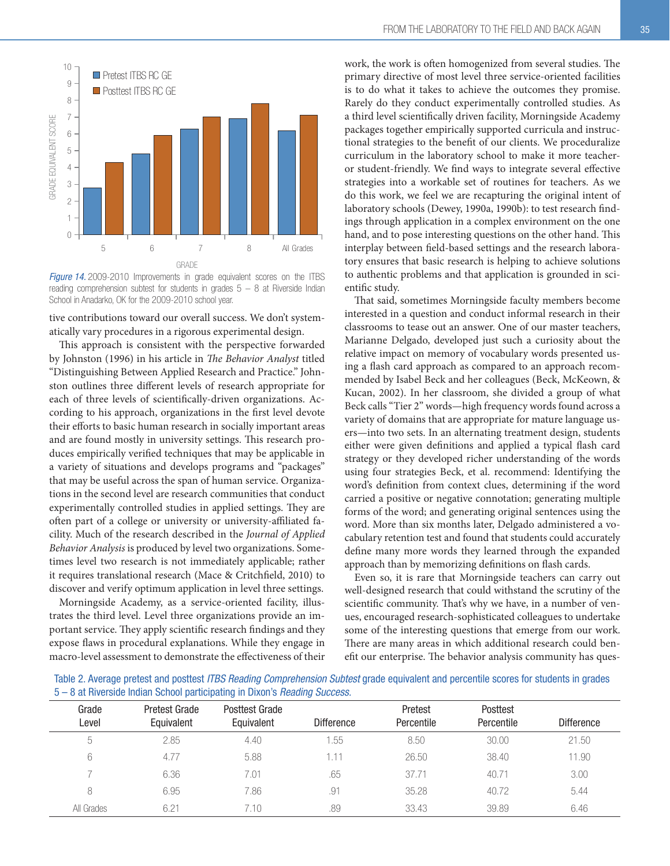

*Figure 14.* 2009-2010 Improvements in grade equivalent scores on the ITBS reading comprehension subtest for students in grades  $5-8$  at Riverside Indian School in Anadarko, OK for the 2009-2010 school year.

tive contributions toward our overall success. We don't systematically vary procedures in a rigorous experimental design.

This approach is consistent with the perspective forwarded by Johnston (1996) in his article in The Behavior Analyst titled "Distinguishing Between Applied Research and Practice." Johnston outlines three different levels of research appropriate for each of three levels of scientifically-driven organizations. According to his approach, organizations in the first level devote their efforts to basic human research in socially important areas and are found mostly in university settings. This research produces empirically verified techniques that may be applicable in a variety of situations and develops programs and "packages" that may be useful across the span of human service. Organizations in the second level are research communities that conduct experimentally controlled studies in applied settings. They are often part of a college or university or university-affiliated facility. Much of the research described in the Journal of Applied Behavior Analysis is produced by level two organizations. Sometimes level two research is not immediately applicable; rather it requires translational research (Mace & Critchfield, 2010) to discover and verify optimum application in level three settings.

Morningside Academy, as a service-oriented facility, illustrates the third level. Level three organizations provide an important service. They apply scientific research findings and they expose flaws in procedural explanations. While they engage in macro-level assessment to demonstrate the effectiveness of their work, the work is often homogenized from several studies. The primary directive of most level three service-oriented facilities is to do what it takes to achieve the outcomes they promise. Rarely do they conduct experimentally controlled studies. As a third level scientifically driven facility, Morningside Academy packages together empirically supported curricula and instructional strategies to the benefit of our clients. We proceduralize curriculum in the laboratory school to make it more teacheror student-friendly. We find ways to integrate several effective strategies into a workable set of routines for teachers. As we do this work, we feel we are recapturing the original intent of laboratory schools (Dewey, 1990a, 1990b): to test research findings through application in a complex environment on the one hand, and to pose interesting questions on the other hand. This interplay between field-based settings and the research laboratory ensures that basic research is helping to achieve solutions to authentic problems and that application is grounded in scientific study.

That said, sometimes Morningside faculty members become interested in a question and conduct informal research in their classrooms to tease out an answer. One of our master teachers, Marianne Delgado, developed just such a curiosity about the relative impact on memory of vocabulary words presented using a flash card approach as compared to an approach recommended by Isabel Beck and her colleagues (Beck, McKeown, & Kucan, 2002). In her classroom, she divided a group of what Beck calls "Tier 2" words—high frequency words found across a variety of domains that are appropriate for mature language users—into two sets. In an alternating treatment design, students either were given definitions and applied a typical flash card strategy or they developed richer understanding of the words using four strategies Beck, et al. recommend: Identifying the word's definition from context clues, determining if the word carried a positive or negative connotation; generating multiple forms of the word; and generating original sentences using the word. More than six months later, Delgado administered a vocabulary retention test and found that students could accurately define many more words they learned through the expanded approach than by memorizing definitions on flash cards.

Even so, it is rare that Morningside teachers can carry out well-designed research that could withstand the scrutiny of the scientific community. That's why we have, in a number of venues, encouraged research-sophisticated colleagues to undertake some of the interesting questions that emerge from our work. There are many areas in which additional research could benefit our enterprise. The behavior analysis community has ques-

Table 2. Average pretest and posttest *ITBS Reading Comprehension Subtest* grade equivalent and percentile scores for students in grades 5 – 8 at Riverside Indian School participating in Dixon's *Reading Success.*

| Grade<br>Level | <b>Pretest Grade</b><br>Equivalent | Posttest Grade<br>Equivalent | <b>Difference</b> | Pretest<br>Percentile | Posttest<br>Percentile | <b>Difference</b> |
|----------------|------------------------------------|------------------------------|-------------------|-----------------------|------------------------|-------------------|
| 5              | 2.85                               | 4.40                         | .55               | 8.50                  | 30.00                  | 21.50             |
| 6              | 4.77                               | 5.88                         | .11               | 26.50                 | 38.40                  | 11.90             |
|                | 6.36                               | 7.01                         | .65               | 37.71                 | 40.71                  | 3.00              |
| 8              | 6.95                               | 7.86                         | .91               | 35.28                 | 40.72                  | 5.44              |
| All Grades     | 6.21                               | 7.10                         | .89               | 33.43                 | 39.89                  | 6.46              |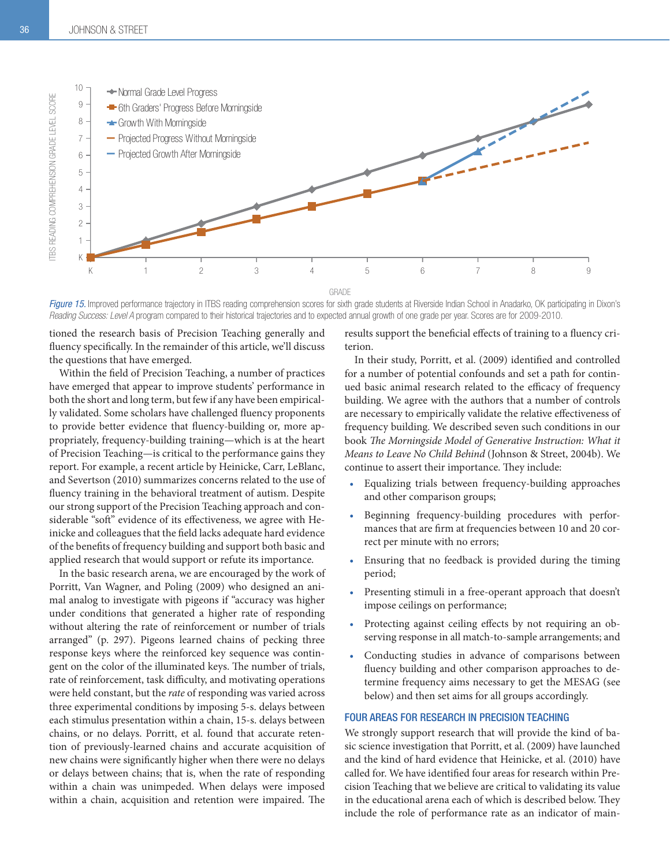

Figure 15. Improved performance trajectory in ITBS reading comprehension scores for sixth grade students at Riverside Indian School in Anadarko, OK participating in Dixon's Reading Success: Level A program compared to their historical trajectories and to expected annual growth of one grade per year. Scores are for 2009-2010.

tioned the research basis of Precision Teaching generally and fluency specifically. In the remainder of this article, we'll discuss the questions that have emerged.

Within the field of Precision Teaching, a number of practices have emerged that appear to improve students' performance in both the short and long term, but few if any have been empirically validated. Some scholars have challenged fluency proponents to provide better evidence that fluency-building or, more appropriately, frequency-building training—which is at the heart of Precision Teaching—is critical to the performance gains they report. For example, a recent article by Heinicke, Carr, LeBlanc, and Severtson (2010) summarizes concerns related to the use of fluency training in the behavioral treatment of autism. Despite our strong support of the Precision Teaching approach and considerable "soft" evidence of its effectiveness, we agree with Heinicke and colleagues that the field lacks adequate hard evidence of the benefits of frequency building and support both basic and applied research that would support or refute its importance.

In the basic research arena, we are encouraged by the work of Porritt, Van Wagner, and Poling (2009) who designed an animal analog to investigate with pigeons if "accuracy was higher under conditions that generated a higher rate of responding without altering the rate of reinforcement or number of trials arranged" (p. 297). Pigeons learned chains of pecking three response keys where the reinforced key sequence was contingent on the color of the illuminated keys. The number of trials, rate of reinforcement, task difficulty, and motivating operations were held constant, but the rate of responding was varied across three experimental conditions by imposing 5-s. delays between each stimulus presentation within a chain, 15-s. delays between chains, or no delays. Porritt, et al. found that accurate retention of previously-learned chains and accurate acquisition of new chains were significantly higher when there were no delays or delays between chains; that is, when the rate of responding within a chain was unimpeded. When delays were imposed within a chain, acquisition and retention were impaired. The

results support the beneficial effects of training to a fluency criterion.

In their study, Porritt, et al. (2009) identified and controlled for a number of potential confounds and set a path for continued basic animal research related to the efficacy of frequency building. We agree with the authors that a number of controls are necessary to empirically validate the relative effectiveness of frequency building. We described seven such conditions in our book The Morningside Model of Generative Instruction: What it Means to Leave No Child Behind (Johnson & Street, 2004b). We continue to assert their importance. They include:

- t Equalizing trials between frequency-building approaches and other comparison groups;
- Beginning frequency-building procedures with performances that are firm at frequencies between 10 and 20 correct per minute with no errors;
- Ensuring that no feedback is provided during the timing period;
- Presenting stimuli in a free-operant approach that doesn't impose ceilings on performance;
- Protecting against ceiling effects by not requiring an observing response in all match-to-sample arrangements; and
- Conducting studies in advance of comparisons between fluency building and other comparison approaches to determine frequency aims necessary to get the MESAG (see below) and then set aims for all groups accordingly.

#### FOUR AREAS FOR RESEARCH IN PRECISION TEACHING

We strongly support research that will provide the kind of basic science investigation that Porritt, et al. (2009) have launched and the kind of hard evidence that Heinicke, et al. (2010) have called for. We have identified four areas for research within Precision Teaching that we believe are critical to validating its value in the educational arena each of which is described below. They include the role of performance rate as an indicator of main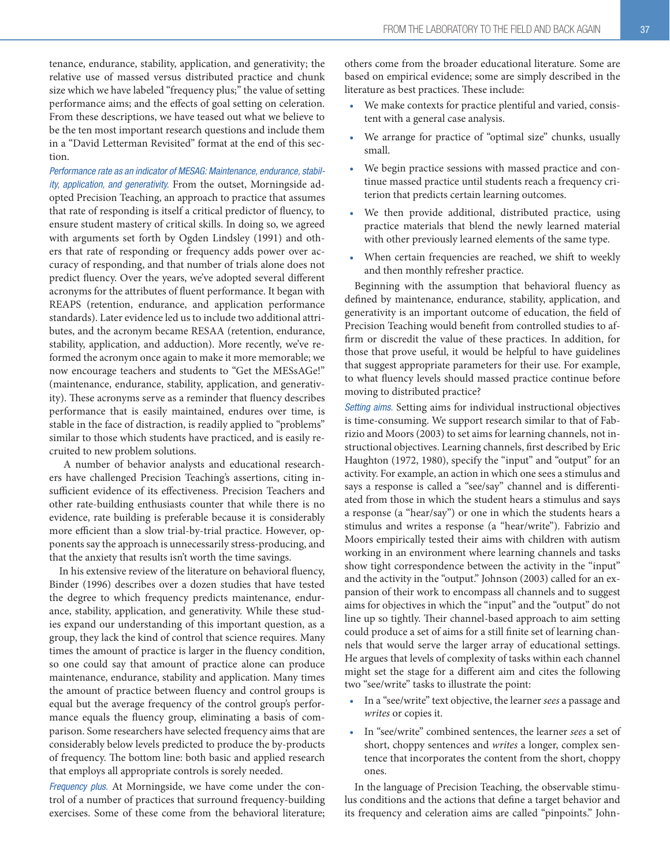tenance, endurance, stability, application, and generativity; the relative use of massed versus distributed practice and chunk size which we have labeled "frequency plus;" the value of setting performance aims; and the effects of goal setting on celeration. From these descriptions, we have teased out what we believe to be the ten most important research questions and include them in a "David Letterman Revisited" format at the end of this section.

*Performance rate as an indicator of MESAG: Maintenance, endurance, stability, application, and generativity.* From the outset, Morningside adopted Precision Teaching, an approach to practice that assumes that rate of responding is itself a critical predictor of fluency, to ensure student mastery of critical skills. In doing so, we agreed with arguments set forth by Ogden Lindsley (1991) and others that rate of responding or frequency adds power over accuracy of responding, and that number of trials alone does not predict fluency. Over the years, we've adopted several different acronyms for the attributes of fluent performance. It began with REAPS (retention, endurance, and application performance standards). Later evidence led us to include two additional attributes, and the acronym became RESAA (retention, endurance, stability, application, and adduction). More recently, we've reformed the acronym once again to make it more memorable; we now encourage teachers and students to "Get the MESsAGe!" (maintenance, endurance, stability, application, and generativity). These acronyms serve as a reminder that fluency describes performance that is easily maintained, endures over time, is stable in the face of distraction, is readily applied to "problems" similar to those which students have practiced, and is easily recruited to new problem solutions.

 A number of behavior analysts and educational researchers have challenged Precision Teaching's assertions, citing insufficient evidence of its effectiveness. Precision Teachers and other rate-building enthusiasts counter that while there is no evidence, rate building is preferable because it is considerably more efficient than a slow trial-by-trial practice. However, opponents say the approach is unnecessarily stress-producing, and that the anxiety that results isn't worth the time savings.

In his extensive review of the literature on behavioral fluency, Binder (1996) describes over a dozen studies that have tested the degree to which frequency predicts maintenance, endurance, stability, application, and generativity. While these studies expand our understanding of this important question, as a group, they lack the kind of control that science requires. Many times the amount of practice is larger in the fluency condition, so one could say that amount of practice alone can produce maintenance, endurance, stability and application. Many times the amount of practice between fluency and control groups is equal but the average frequency of the control group's performance equals the fluency group, eliminating a basis of comparison. Some researchers have selected frequency aims that are considerably below levels predicted to produce the by-products of frequency. The bottom line: both basic and applied research that employs all appropriate controls is sorely needed.

*Frequency plus.* At Morningside, we have come under the control of a number of practices that surround frequency-building exercises. Some of these come from the behavioral literature; others come from the broader educational literature. Some are based on empirical evidence; some are simply described in the literature as best practices. These include:

- We make contexts for practice plentiful and varied, consistent with a general case analysis.
- We arrange for practice of "optimal size" chunks, usually small.
- We begin practice sessions with massed practice and continue massed practice until students reach a frequency criterion that predicts certain learning outcomes.
- We then provide additional, distributed practice, using practice materials that blend the newly learned material with other previously learned elements of the same type.
- When certain frequencies are reached, we shift to weekly and then monthly refresher practice.

Beginning with the assumption that behavioral fluency as defined by maintenance, endurance, stability, application, and generativity is an important outcome of education, the field of Precision Teaching would benefit from controlled studies to affirm or discredit the value of these practices. In addition, for those that prove useful, it would be helpful to have guidelines that suggest appropriate parameters for their use. For example, to what fluency levels should massed practice continue before moving to distributed practice?

*Setting aims.* Setting aims for individual instructional objectives is time-consuming. We support research similar to that of Fabrizio and Moors (2003) to set aims for learning channels, not instructional objectives. Learning channels, first described by Eric Haughton (1972, 1980), specify the "input" and "output" for an activity. For example, an action in which one sees a stimulus and says a response is called a "see/say" channel and is differentiated from those in which the student hears a stimulus and says a response (a "hear/say") or one in which the students hears a stimulus and writes a response (a "hear/write"). Fabrizio and Moors empirically tested their aims with children with autism working in an environment where learning channels and tasks show tight correspondence between the activity in the "input" and the activity in the "output." Johnson (2003) called for an expansion of their work to encompass all channels and to suggest aims for objectives in which the "input" and the "output" do not line up so tightly. Their channel-based approach to aim setting could produce a set of aims for a still finite set of learning channels that would serve the larger array of educational settings. He argues that levels of complexity of tasks within each channel might set the stage for a different aim and cites the following two "see/write" tasks to illustrate the point:

- In a "see/write" text objective, the learner sees a passage and writes or copies it.
- In "see/write" combined sentences, the learner sees a set of short, choppy sentences and writes a longer, complex sentence that incorporates the content from the short, choppy ones.

In the language of Precision Teaching, the observable stimulus conditions and the actions that define a target behavior and its frequency and celeration aims are called "pinpoints." John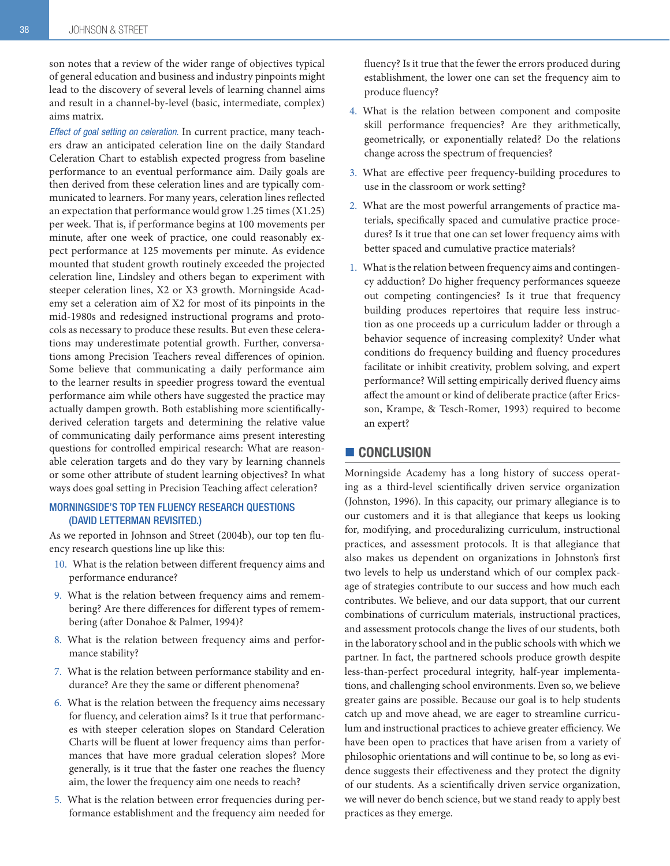son notes that a review of the wider range of objectives typical of general education and business and industry pinpoints might lead to the discovery of several levels of learning channel aims and result in a channel-by-level (basic, intermediate, complex) aims matrix.

*Effect of goal setting on celeration.* In current practice, many teachers draw an anticipated celeration line on the daily Standard Celeration Chart to establish expected progress from baseline performance to an eventual performance aim. Daily goals are then derived from these celeration lines and are typically communicated to learners. For many years, celeration lines reflected an expectation that performance would grow 1.25 times (X1.25) per week. That is, if performance begins at 100 movements per minute, after one week of practice, one could reasonably expect performance at 125 movements per minute. As evidence mounted that student growth routinely exceeded the projected celeration line, Lindsley and others began to experiment with steeper celeration lines, X2 or X3 growth. Morningside Academy set a celeration aim of X2 for most of its pinpoints in the mid-1980s and redesigned instructional programs and protocols as necessary to produce these results. But even these celerations may underestimate potential growth. Further, conversations among Precision Teachers reveal differences of opinion. Some believe that communicating a daily performance aim to the learner results in speedier progress toward the eventual performance aim while others have suggested the practice may actually dampen growth. Both establishing more scientificallyderived celeration targets and determining the relative value of communicating daily performance aims present interesting questions for controlled empirical research: What are reasonable celeration targets and do they vary by learning channels or some other attribute of student learning objectives? In what ways does goal setting in Precision Teaching affect celeration?

#### MORNINGSIDE'S TOP TEN FLUENCY RESEARCH QUESTIONS (DAVID LETTERMAN REVISITED.)

As we reported in Johnson and Street (2004b), our top ten fluency research questions line up like this:

- 10. What is the relation between different frequency aims and performance endurance?
- 9. What is the relation between frequency aims and remembering? Are there differences for different types of remembering (after Donahoe & Palmer, 1994)?
- 8. What is the relation between frequency aims and performance stability?
- 7. What is the relation between performance stability and endurance? Are they the same or different phenomena?
- 6. What is the relation between the frequency aims necessary for fluency, and celeration aims? Is it true that performances with steeper celeration slopes on Standard Celeration Charts will be fluent at lower frequency aims than performances that have more gradual celeration slopes? More generally, is it true that the faster one reaches the fluency aim, the lower the frequency aim one needs to reach?
- 5. What is the relation between error frequencies during performance establishment and the frequency aim needed for

fluency? Is it true that the fewer the errors produced during establishment, the lower one can set the frequency aim to produce fluency?

- 4. What is the relation between component and composite skill performance frequencies? Are they arithmetically, geometrically, or exponentially related? Do the relations change across the spectrum of frequencies?
- 3. What are effective peer frequency-building procedures to use in the classroom or work setting?
- 2. What are the most powerful arrangements of practice materials, specifically spaced and cumulative practice procedures? Is it true that one can set lower frequency aims with better spaced and cumulative practice materials?
- 1. What is the relation between frequency aims and contingency adduction? Do higher frequency performances squeeze out competing contingencies? Is it true that frequency building produces repertoires that require less instruction as one proceeds up a curriculum ladder or through a behavior sequence of increasing complexity? Under what conditions do frequency building and fluency procedures facilitate or inhibit creativity, problem solving, and expert performance? Will setting empirically derived fluency aims affect the amount or kind of deliberate practice (after Ericsson, Krampe, & Tesch-Romer, 1993) required to become an expert?

## CONCLUSION

Morningside Academy has a long history of success operating as a third-level scientifically driven service organization (Johnston, 1996). In this capacity, our primary allegiance is to our customers and it is that allegiance that keeps us looking for, modifying, and proceduralizing curriculum, instructional practices, and assessment protocols. It is that allegiance that also makes us dependent on organizations in Johnston's first two levels to help us understand which of our complex package of strategies contribute to our success and how much each contributes. We believe, and our data support, that our current combinations of curriculum materials, instructional practices, and assessment protocols change the lives of our students, both in the laboratory school and in the public schools with which we partner. In fact, the partnered schools produce growth despite less-than-perfect procedural integrity, half-year implementations, and challenging school environments. Even so, we believe greater gains are possible. Because our goal is to help students catch up and move ahead, we are eager to streamline curriculum and instructional practices to achieve greater efficiency. We have been open to practices that have arisen from a variety of philosophic orientations and will continue to be, so long as evidence suggests their effectiveness and they protect the dignity of our students. As a scientifically driven service organization, we will never do bench science, but we stand ready to apply best practices as they emerge.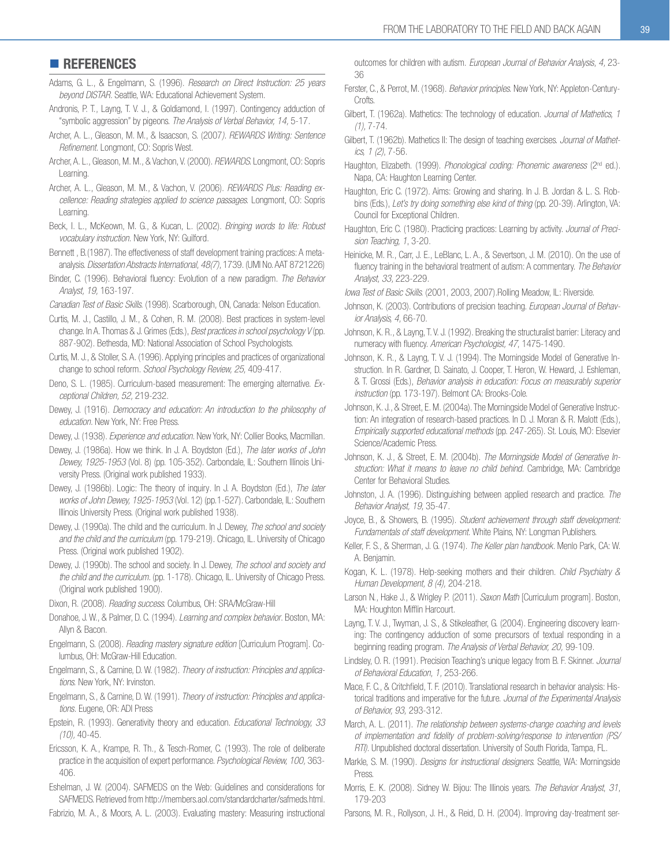## **REFERENCES**

- Adams, G. L., & Engelmann, S. (1996). Research on Direct Instruction: 25 years beyond DISTAR. Seattle, WA: Educational Achievement System.
- Andronis, P. T., Layng, T. V. J., & Goldiamond, I. (1997). Contingency adduction of "symbolic aggression" by pigeons. The Analysis of Verbal Behavior, 14, 5-17.
- Archer, A. L., Gleason, M. M., & Isaacson, S. (2007*). REWARDS Writing: Sentence* Refinement. Longmont, CO: Sopris West.
- Archer, A. L., Gleason, M. M., & Vachon, V. (2000). *REWARDS.* Longmont, CO: Sopris Learning.
- Archer, A. L., Gleason, M. M., & Vachon, V. (2006). REWARDS Plus: Reading ex*cellence: Reading strategies applied to science passages.* Longmont, CO: Sopris Learning.
- Beck, I. L., McKeown, M. G., & Kucan, L. (2002). *Bringing words to life: Robust* vocabulary instruction. New York, NY: Guilford.
- Bennett, B.(1987). The effectiveness of staff development training practices: A metaanalysis. *Dissertation Abstracts International, 48(7)*, 1739. (UMI No. AAT 8721226)
- Binder, C. (1996). Behavioral fluency: Evolution of a new paradigm. The Behavior *Analyst, 19,*
- Canadian Test of Basic Skills. (1998). Scarborough, ON, Canada: Nelson Education.
- Curtis, M. J., Castillo, J. M., & Cohen, R. M. (2008). Best practices in system-level change. In A. Thomas & J. Grimes (Eds.), *Best practices in school psychology V* (pp. 887-902). Bethesda, MD: National Association of School Psychologists.
- Curtis, M. J., & Stoller, S. A. (1996). Applying principles and practices of organizational change to school reform. School Psychology Review, 25, 409-417.
- Deno, S. L. (1985). Curriculum-based measurement: The emerging alternative. Ex*ceptional Children, 52,*
- Dewey, J. (1916). *Democracy and education: An introduction to the philosophy of* education. New York, NY: Free Press.
- Dewey, J. (1938). *Experience and education.* New York, NY: Collier Books, Macmillan.
- Dewey, J. (1986a). How we think. In J. A. Boydston (Ed.), The later works of John Dewey, 1925-1953 (Vol. 8) (pp. 105-352). Carbondale, IL: Southern Illinois University Press. (Original work published 1933).
- Dewey, J. (1986b). Logic: The theory of inquiry. In J. A. Boydston (Ed.), The later works of John Dewey, 1925-1953 (Vol. 12) (pp.1-527). Carbondale, IL: Southern Illinois University Press. (Original work published 1938).
- Dewey, J. (1990a). The child and the curriculum. In J. Dewey, The school and society and the child and the curriculum (pp. 179-219). Chicago, IL. University of Chicago Press. (Original work published 1902).
- Dewey, J. (1990b). The school and society. In J. Dewey, The school and society and *the child and the curriculum.* (pp. 1-178). Chicago, IL. University of Chicago Press. (Original work published 1900).
- Dixon, R. (2008). *Reading success.* Columbus, OH: SRA/McGraw-Hill
- Donahoe, J. W., & Palmer, D. C. (1994). *Learning and complex behavior*. Boston, MA: Allvn & Bacon.
- Engelmann, S. (2008). Reading mastery signature edition *[Curriculum Program]*. Columbus, OH: McGraw-Hill Education.
- Fngelmann, S., & Carnine, D. W. (1982). *Theory of instruction: Principles and applica*tions. New York, NY: Irvinston.
- Engelmann, S., & Carnine, D. W. (1991). Theory of instruction: Principles and applications. Eugene, OR: ADI Press
- Epstein, R. (1993). Generativity theory and education. Educational Technology, 33 *(10),*
- Ericsson, K. A., Krampe, R. Th., & Tesch-Romer, C. (1993). The role of deliberate practice in the acquisition of expert performance. Psychological Review, 100, 363- $406.$
- Eshelman, J. W. (2004). SAFMEDS on the Web: Guidelines and considerations for SAFMEDS. Retrieved from http://members.aol.com/standardcharter/safmeds.html.
- Fabrizio, M. A., & Moors, A. L. (2003). Evaluating mastery: Measuring instructional

outcomes for children with autism. *European Journal of Behavior Analysis*, 4, 23-36

- Ferster, C., & Perrot, M. (1968). Behavior principles. New York, NY: Appleton-Century-Crofts
- Gilbert, T. (1962a). Mathetics: The technology of education. Journal of Mathetics, 1 *(1),*
- Gilbert, T. (1962b). Mathetics II: The design of teaching exercises. Journal of Mathet*ics, 1 (2)*
- Haughton, Elizabeth. (1999). Phonological coding: Phonemic awareness (2<sup>nd</sup> ed.). Napa, CA: Haughton Learning Center.
- Haughton, Eric C. (1972). Aims: Growing and sharing. In J. B. Jordan & L. S. Robbins (Eds.), Let's try doing something else kind of thing (pp. 20-39). Arlington, VA: Council for Exceptional Children.
- Haughton, Eric C. (1980). Practicing practices: Learning by activity. Journal of Preci*sion Teaching, 1*
- Heinicke, M. R., Carr, J. E., LeBlanc, L. A., & Severtson, J. M. (2010). On the use of fluency training in the behavioral treatment of autism: A commentary. The Behavior *Analyst, 33,*
- lowa Test of Basic Skills. (2001, 2003, 2007).Rolling Meadow, IL: Riverside.
- Johnson, K. (2003). Contributions of precision teaching. European Journal of Behav*ior Analysis, 4,*
- Johnson, K. R., & Layng, T. V. J. (1992). Breaking the structuralist barrier: Literacy and numeracy with fluency. American Psychologist, 47, 1475-1490.
- Johnson, K. R., & Layng, T. V. J. (1994). The Morningside Model of Generative Instruction. In R. Gardner. D. Sainato. J. Cooper. T. Heron. W. Heward. J. Eshleman.  $&$  T. Grossi (Eds.), *Behavior analysis in education: Focus on measurably superior instruction* (pp. 173-197). Belmont CA: Brooks-Cole.
- Johnson, K. J., & Street, E. M. (2004a). The Morningside Model of Generative Instruction: An integration of research-based practices. In D. J. Moran & R. Malott (Eds.), *Empirically supported educational methods* (pp. 247-265). St. Louis, MO: Elsevier Science/Academic Press.
- Johnson, K. J., & Street, E. M. (2004b). The Morningside Model of Generative Instruction: What it means to leave no child behind. Cambridge, MA: Cambridge Center for Behavioral Studies.
- Johnston, J. A. (1996). Distinguishing between applied research and practice. The *Behavior Analyst, 19,*
- Joyce, B., & Showers, B. (1995). *Student achievement through staff development: Fundamentals of staff development.* White Plains, NY: Longman Publishers.
- Keller, F. S., & Sherman, J. G. (1974). The Keller plan handbook. Menlo Park, CA: W. A. Benjamin.
- Kogan, K. L. (1978). Help-seeking mothers and their children. *Child Psychiatry & Human Development, 8 (4),*
- Larson N., Hake J., & Wrigley P. (2011). Saxon Math [Curriculum program]. Boston, MA: Houghton Mifflin Harcourt.
- Layng, T. V. J., Twyman, J. S., & Stikeleather, G. (2004). Engineering discovery learning: The contingency adduction of some precursors of textual responding in a beginning reading program. The Analysis of Verbal Behavior, 20, 99-109.
- Lindsley, O. R. (1991). Precision Teaching's unique legacy from B. F. Skinner. *Journal of Behavioral Education, 1,*
- Mace, F. C., & Critchfield, T. F. (2010). Translational research in behavior analysis: Historical traditions and imperative for the future. Journal of the Experimental Analysis *of Behavior, 93,*
- March, A. L. (2011). The relationship between systems-change coaching and levels of implementation and fidelity of problem-solving/response to intervention (PS/ *RTI)*. Unpublished doctoral dissertation. University of South Florida, Tampa, FL.
- Markle, S. M. (1990). *Designs for instructional designers.* Seattle, WA: Morningside Press.
- Morris, E. K. (2008). Sidney W. Bijou: The Illinois years. The Behavior Analyst, 31, 179-203

Parsons, M. R., Rollyson, J. H., & Reid, D. H. (2004). Improving day-treatment ser-